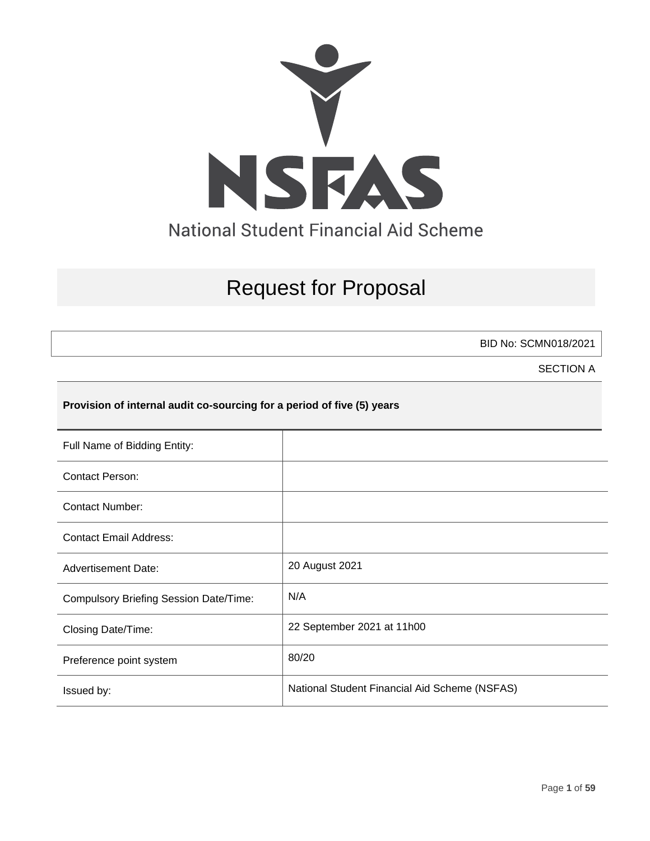

# Request for Proposal

BID No: SCMN018/2021

SECTION A

# **Provision of internal audit co-sourcing for a period of five (5) years**

| Full Name of Bidding Entity:                  |                                               |
|-----------------------------------------------|-----------------------------------------------|
| <b>Contact Person:</b>                        |                                               |
| Contact Number:                               |                                               |
| <b>Contact Email Address:</b>                 |                                               |
| <b>Advertisement Date:</b>                    | 20 August 2021                                |
| <b>Compulsory Briefing Session Date/Time:</b> | N/A                                           |
| Closing Date/Time:                            | 22 September 2021 at 11h00                    |
| Preference point system                       | 80/20                                         |
| Issued by:                                    | National Student Financial Aid Scheme (NSFAS) |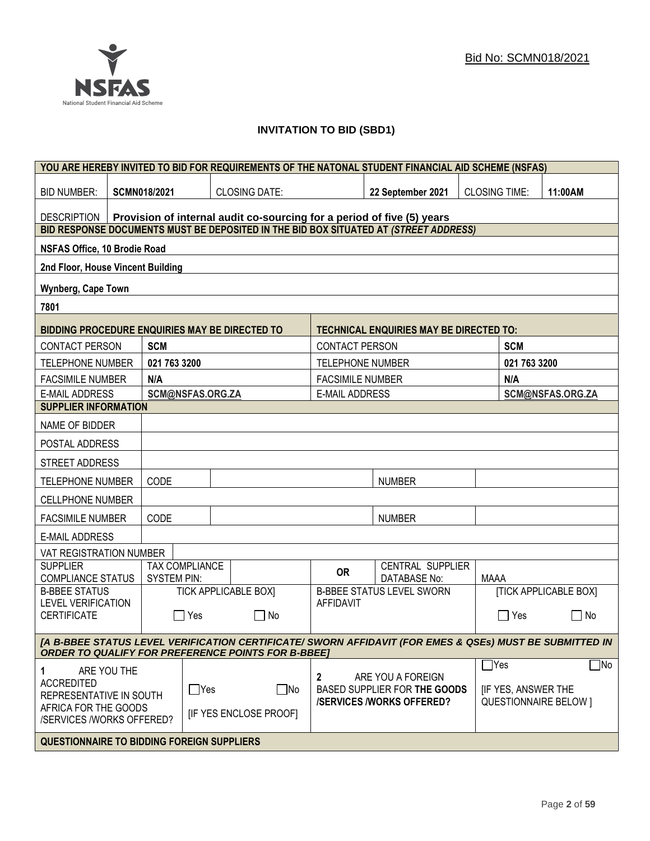# **INVITATION TO BID (SBD1)**

|                                                                                                                                                                      | YOU ARE HEREBY INVITED TO BID FOR REQUIREMENTS OF THE NATONAL STUDENT FINANCIAL AID SCHEME (NSFAS) |                     |                  |                                                                        |                                  |                                                                                      |                      |                              |                              |
|----------------------------------------------------------------------------------------------------------------------------------------------------------------------|----------------------------------------------------------------------------------------------------|---------------------|------------------|------------------------------------------------------------------------|----------------------------------|--------------------------------------------------------------------------------------|----------------------|------------------------------|------------------------------|
| <b>BID NUMBER:</b>                                                                                                                                                   |                                                                                                    | <b>SCMN018/2021</b> |                  | <b>CLOSING DATE:</b>                                                   |                                  | 22 September 2021                                                                    | <b>CLOSING TIME:</b> |                              | 11:00AM                      |
| <b>DESCRIPTION</b>                                                                                                                                                   |                                                                                                    |                     |                  | Provision of internal audit co-sourcing for a period of five (5) years |                                  |                                                                                      |                      |                              |                              |
|                                                                                                                                                                      |                                                                                                    |                     |                  |                                                                        |                                  | BID RESPONSE DOCUMENTS MUST BE DEPOSITED IN THE BID BOX SITUATED AT (STREET ADDRESS) |                      |                              |                              |
| <b>NSFAS Office, 10 Brodie Road</b>                                                                                                                                  |                                                                                                    |                     |                  |                                                                        |                                  |                                                                                      |                      |                              |                              |
| 2nd Floor, House Vincent Building                                                                                                                                    |                                                                                                    |                     |                  |                                                                        |                                  |                                                                                      |                      |                              |                              |
| <b>Wynberg, Cape Town</b>                                                                                                                                            |                                                                                                    |                     |                  |                                                                        |                                  |                                                                                      |                      |                              |                              |
| 7801                                                                                                                                                                 |                                                                                                    |                     |                  |                                                                        |                                  |                                                                                      |                      |                              |                              |
| BIDDING PROCEDURE ENQUIRIES MAY BE DIRECTED TO                                                                                                                       |                                                                                                    |                     |                  |                                                                        |                                  | <b>TECHNICAL ENQUIRIES MAY BE DIRECTED TO:</b>                                       |                      |                              |                              |
| <b>CONTACT PERSON</b>                                                                                                                                                |                                                                                                    | <b>SCM</b>          |                  |                                                                        | <b>CONTACT PERSON</b>            |                                                                                      |                      | <b>SCM</b>                   |                              |
| <b>TELEPHONE NUMBER</b>                                                                                                                                              |                                                                                                    | 021 763 3200        |                  |                                                                        | <b>TELEPHONE NUMBER</b>          |                                                                                      |                      | 021 763 3200                 |                              |
| <b>FACSIMILE NUMBER</b>                                                                                                                                              |                                                                                                    | N/A                 |                  |                                                                        | <b>FACSIMILE NUMBER</b>          |                                                                                      |                      | N/A                          |                              |
| <b>E-MAIL ADDRESS</b>                                                                                                                                                |                                                                                                    |                     | SCM@NSFAS.ORG.ZA |                                                                        | <b>E-MAIL ADDRESS</b>            |                                                                                      |                      |                              | SCM@NSFAS.ORG.ZA             |
| <b>SUPPLIER INFORMATION</b>                                                                                                                                          |                                                                                                    |                     |                  |                                                                        |                                  |                                                                                      |                      |                              |                              |
| NAME OF BIDDER                                                                                                                                                       |                                                                                                    |                     |                  |                                                                        |                                  |                                                                                      |                      |                              |                              |
| POSTAL ADDRESS                                                                                                                                                       |                                                                                                    |                     |                  |                                                                        |                                  |                                                                                      |                      |                              |                              |
| STREET ADDRESS                                                                                                                                                       |                                                                                                    |                     |                  |                                                                        |                                  |                                                                                      |                      |                              |                              |
| <b>TELEPHONE NUMBER</b>                                                                                                                                              |                                                                                                    | CODE                |                  |                                                                        |                                  | <b>NUMBER</b>                                                                        |                      |                              |                              |
| <b>CELLPHONE NUMBER</b>                                                                                                                                              |                                                                                                    |                     |                  |                                                                        |                                  |                                                                                      |                      |                              |                              |
| <b>FACSIMILE NUMBER</b>                                                                                                                                              |                                                                                                    | CODE                |                  |                                                                        |                                  | <b>NUMBER</b>                                                                        |                      |                              |                              |
| <b>E-MAIL ADDRESS</b>                                                                                                                                                |                                                                                                    |                     |                  |                                                                        |                                  |                                                                                      |                      |                              |                              |
| VAT REGISTRATION NUMBER                                                                                                                                              |                                                                                                    |                     |                  |                                                                        |                                  |                                                                                      |                      |                              |                              |
| <b>SUPPLIER</b><br><b>COMPLIANCE STATUS</b>                                                                                                                          |                                                                                                    | <b>SYSTEM PIN:</b>  | TAX COMPLIANCE   |                                                                        | <b>OR</b>                        | CENTRAL SUPPLIER<br><b>DATABASE No:</b>                                              | <b>MAAA</b>          |                              |                              |
| <b>B-BBEE STATUS</b>                                                                                                                                                 |                                                                                                    |                     |                  | <b>TICK APPLICABLE BOX]</b>                                            |                                  | <b>B-BBEE STATUS LEVEL SWORN</b>                                                     |                      |                              | <b>[TICK APPLICABLE BOX]</b> |
| <b>LEVEL VERIFICATION</b><br><b>CERTIFICATE</b>                                                                                                                      |                                                                                                    |                     | Yes              | $\Box$ No                                                              | <b>AFFIDAVIT</b>                 |                                                                                      |                      | $\Box$ Yes                   | $\Box$<br>No                 |
|                                                                                                                                                                      |                                                                                                    |                     |                  |                                                                        |                                  |                                                                                      |                      |                              |                              |
| [A B-BBEE STATUS LEVEL VERIFICATION CERTIFICATE/ SWORN AFFIDAVIT (FOR EMES & QSEs) MUST BE SUBMITTED IN<br><b>ORDER TO QUALIFY FOR PREFERENCE POINTS FOR B-BBEET</b> |                                                                                                    |                     |                  |                                                                        |                                  |                                                                                      |                      |                              |                              |
| 1                                                                                                                                                                    | ARE YOU THE                                                                                        |                     |                  |                                                                        |                                  |                                                                                      | $\mathsf{T}$ Yes     |                              | $\Box$ No                    |
| <b>ACCREDITED</b><br>$\Box$ Yes                                                                                                                                      |                                                                                                    | $\Box$ No           | $\mathbf{2}$     | ARE YOU A FOREIGN<br>BASED SUPPLIER FOR THE GOODS                      |                                  | <b>IF YES, ANSWER THE</b>                                                            |                      |                              |                              |
| REPRESENTATIVE IN SOUTH<br>AFRICA FOR THE GOODS                                                                                                                      |                                                                                                    |                     |                  |                                                                        | <b>/SERVICES /WORKS OFFERED?</b> |                                                                                      |                      | <b>QUESTIONNAIRE BELOW 1</b> |                              |
| <b>IF YES ENCLOSE PROOFI</b><br>/SERVICES /WORKS OFFERED?                                                                                                            |                                                                                                    |                     |                  |                                                                        |                                  |                                                                                      |                      |                              |                              |
| <b>QUESTIONNAIRE TO BIDDING FOREIGN SUPPLIERS</b>                                                                                                                    |                                                                                                    |                     |                  |                                                                        |                                  |                                                                                      |                      |                              |                              |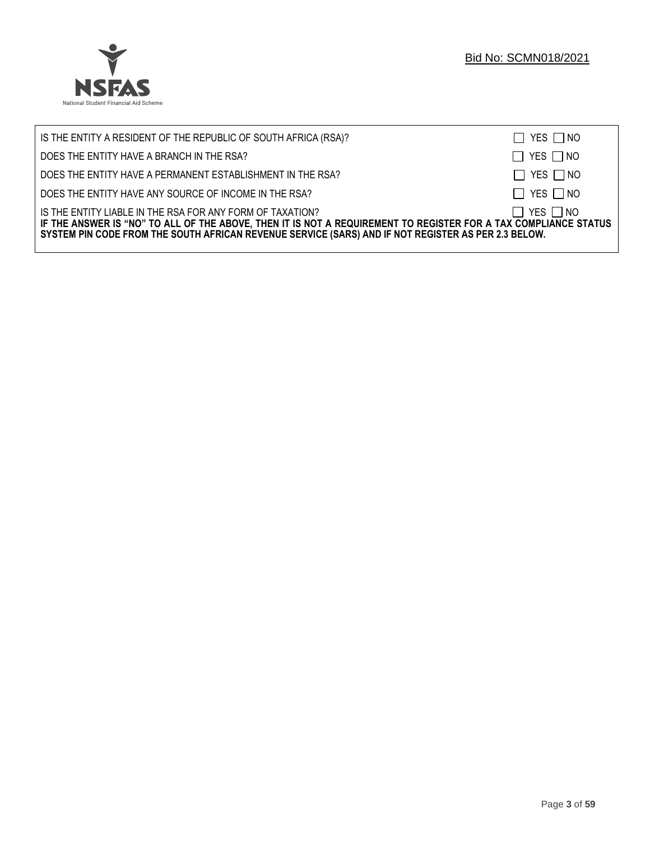

| IS THE ENTITY A RESIDENT OF THE REPUBLIC OF SOUTH AFRICA (RSA)?                                                                                                                                                                                                                     | $\Box$ YES $\Box$ NO |
|-------------------------------------------------------------------------------------------------------------------------------------------------------------------------------------------------------------------------------------------------------------------------------------|----------------------|
| DOES THE ENTITY HAVE A BRANCH IN THE RSA?                                                                                                                                                                                                                                           | $\Box$ YES $\Box$ NO |
| DOES THE ENTITY HAVE A PERMANENT ESTABLISHMENT IN THE RSA?                                                                                                                                                                                                                          | $\Box$ YES $\Box$ NO |
| DOES THE ENTITY HAVE ANY SOURCE OF INCOME IN THE RSA?                                                                                                                                                                                                                               | $\Box$ YES $\Box$ NO |
| IS THE ENTITY LIABLE IN THE RSA FOR ANY FORM OF TAXATION?<br>IF THE ANSWER IS "NO" TO ALL OF THE ABOVE, THEN IT IS NOT A REQUIREMENT TO REGISTER FOR A TAX COMPLIANCE STATUS<br>SYSTEM PIN CODE FROM THE SOUTH AFRICAN REVENUE SERVICE (SARS) AND IF NOT REGISTER AS PER 2.3 BELOW. | $\Box$ YES $\Box$ NO |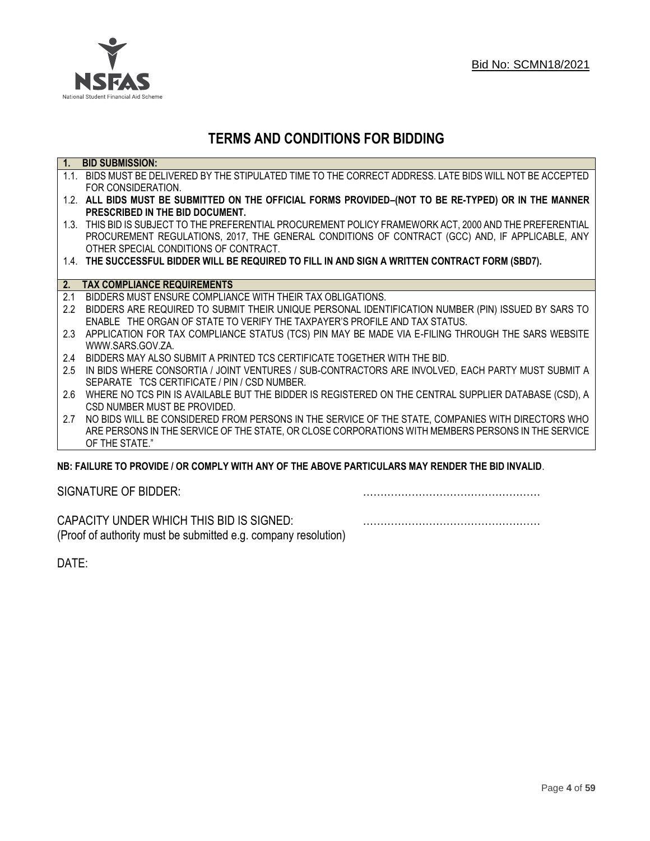

# **TERMS AND CONDITIONS FOR BIDDING**

| $\overline{1}$ . | <b>BID SUBMISSION:</b>                                                                                    |
|------------------|-----------------------------------------------------------------------------------------------------------|
|                  | 1.1. BIDS MUST BE DELIVERED BY THE STIPULATED TIME TO THE CORRECT ADDRESS. LATE BIDS WILL NOT BE ACCEPTED |
|                  | FOR CONSIDERATION.                                                                                        |
|                  | 1.2. ALL BIDS MUST BE SUBMITTED ON THE OFFICIAL FORMS PROVIDED-(NOT TO BE RE-TYPED) OR IN THE MANNER      |
|                  | PRESCRIBED IN THE BID DOCUMENT.                                                                           |
|                  | 1.3. THIS BID IS SUBJECT TO THE PREFERENTIAL PROCUREMENT POLICY FRAMEWORK ACT, 2000 AND THE PREFERENTIAL  |
|                  | PROCUREMENT REGULATIONS, 2017, THE GENERAL CONDITIONS OF CONTRACT (GCC) AND, IF APPLICABLE, ANY           |
|                  | OTHER SPECIAL CONDITIONS OF CONTRACT.                                                                     |
|                  | 1.4. THE SUCCESSFUL BIDDER WILL BE REQUIRED TO FILL IN AND SIGN A WRITTEN CONTRACT FORM (SBD7).           |
|                  |                                                                                                           |
|                  | 2. TAX COMPLIANCE REQUIREMENTS                                                                            |
| 2.1              | BIDDERS MUST ENSURE COMPLIANCE WITH THEIR TAX OBLIGATIONS.                                                |
| $2.2^{\circ}$    | BIDDERS ARE REQUIRED TO SUBMIT THEIR UNIQUE PERSONAL IDENTIFICATION NUMBER (PIN) ISSUED BY SARS TO        |
|                  | ENABLE THE ORGAN OF STATE TO VERIFY THE TAXPAYER'S PROFILE AND TAX STATUS.                                |
| 2.3              | APPLICATION FOR TAX COMPLIANCE STATUS (TCS) PIN MAY BE MADE VIA E-FILING THROUGH THE SARS WEBSITE         |
|                  | WWW.SARS.GOV.ZA.                                                                                          |
| 2.4              | BIDDERS MAY ALSO SUBMIT A PRINTED TCS CERTIFICATE TOGETHER WITH THE BID.                                  |
| 2.5              | IN BIDS WHERE CONSORTIA / JOINT VENTURES / SUB-CONTRACTORS ARE INVOLVED, EACH PARTY MUST SUBMIT A         |
|                  | SEPARATE TCS CERTIFICATE / PIN / CSD NUMBER.                                                              |
| 2.6              | WHERE NO TCS PIN IS AVAILABLE BUT THE BIDDER IS REGISTERED ON THE CENTRAL SUPPLIER DATABASE (CSD), A      |
|                  | CSD NUMBER MUST BE PROVIDED.                                                                              |
| 2.7              | NO BIDS WILL BE CONSIDERED FROM PERSONS IN THE SERVICE OF THE STATE, COMPANIES WITH DIRECTORS WHO         |
|                  | ARE PERSONS IN THE SERVICE OF THE STATE, OR CLOSE CORPORATIONS WITH MEMBERS PERSONS IN THE SERVICE        |
|                  | OF THE STATE."                                                                                            |
|                  | ND: EAII HDE TO DDOVINE I OD COMDI V WITH ANY OF THE ADOVE DADTICHI ADS MAY DENNED THE DIN INVALIN        |

# **NB: FAILURE TO PROVIDE / OR COMPLY WITH ANY OF THE ABOVE PARTICULARS MAY RENDER THE BID INVALID**.

|  | SIGNATURE OF BIDDER: |
|--|----------------------|
|--|----------------------|

SIGNATURE OF BIDDER: ……………………………………………

CAPACITY UNDER WHICH THIS BID IS SIGNED: …………………………………………… (Proof of authority must be submitted e.g. company resolution)

DATE: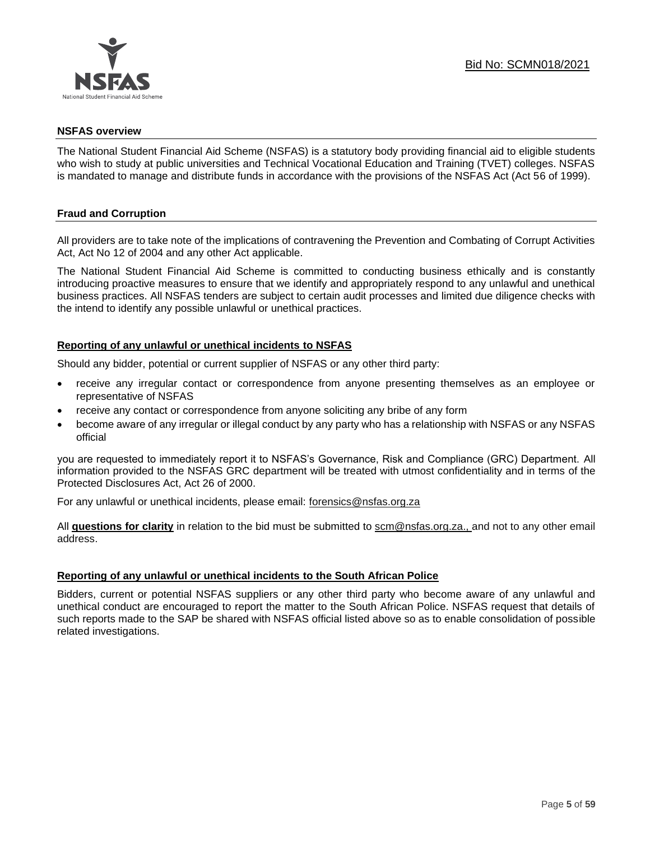

#### **NSFAS overview**

The National Student Financial Aid Scheme (NSFAS) is a statutory body providing financial aid to eligible students who wish to study at public universities and Technical Vocational Education and Training (TVET) colleges. NSFAS is mandated to manage and distribute funds in accordance with the provisions of the NSFAS Act (Act 56 of 1999).

# **Fraud and Corruption**

All providers are to take note of the implications of contravening the Prevention and Combating of Corrupt Activities Act, Act No 12 of 2004 and any other Act applicable.

The National Student Financial Aid Scheme is committed to conducting business ethically and is constantly introducing proactive measures to ensure that we identify and appropriately respond to any unlawful and unethical business practices. All NSFAS tenders are subject to certain audit processes and limited due diligence checks with the intend to identify any possible unlawful or unethical practices.

# **Reporting of any unlawful or unethical incidents to NSFAS**

Should any bidder, potential or current supplier of NSFAS or any other third party:

- receive any irregular contact or correspondence from anyone presenting themselves as an employee or representative of NSFAS
- receive any contact or correspondence from anyone soliciting any bribe of any form
- become aware of any irregular or illegal conduct by any party who has a relationship with NSFAS or any NSFAS official

you are requested to immediately report it to NSFAS's Governance, Risk and Compliance (GRC) Department. All information provided to the NSFAS GRC department will be treated with utmost confidentiality and in terms of the Protected Disclosures Act, Act 26 of 2000.

For any unlawful or unethical incidents, please email: [forensics@nsfas.org.za](mailto:forensics@nsfas.org.za)

All **questions for clarity** in relation to the bid must be submitted to [scm@nsfas.org.za.](mailto:scm@nsfas.org.za), and not to any other email address.

# **Reporting of any unlawful or unethical incidents to the South African Police**

Bidders, current or potential NSFAS suppliers or any other third party who become aware of any unlawful and unethical conduct are encouraged to report the matter to the South African Police. NSFAS request that details of such reports made to the SAP be shared with NSFAS official listed above so as to enable consolidation of possible related investigations.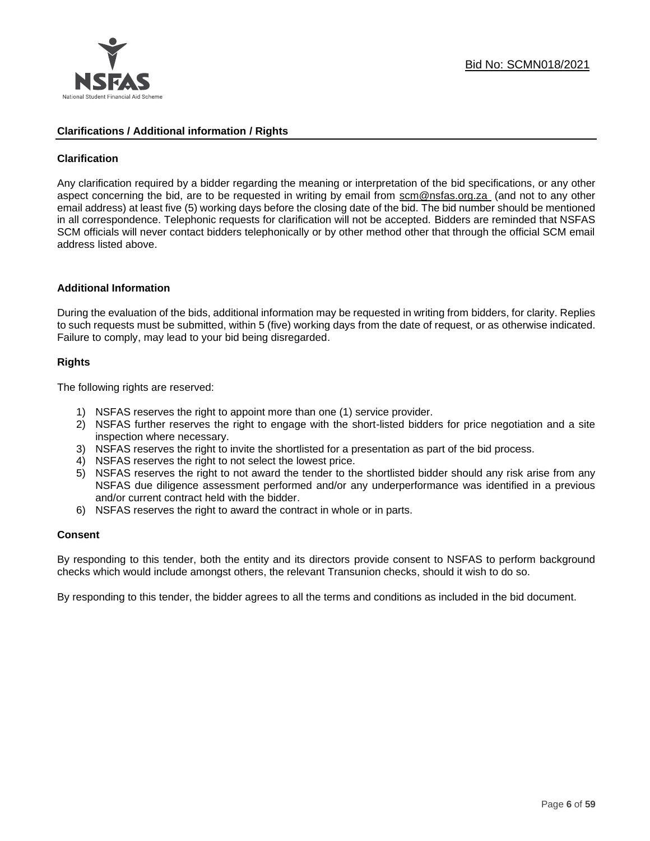

#### **Clarifications / Additional information / Rights**

# **Clarification**

Any clarification required by a bidder regarding the meaning or interpretation of the bid specifications, or any other aspect concerning the bid, are to be requested in writing by email from [scm@nsfas.org.za](mailto:scm@nsfas.org.za) (and not to any other email address) at least five (5) working days before the closing date of the bid. The bid number should be mentioned in all correspondence. Telephonic requests for clarification will not be accepted. Bidders are reminded that NSFAS SCM officials will never contact bidders telephonically or by other method other that through the official SCM email address listed above.

#### **Additional Information**

During the evaluation of the bids, additional information may be requested in writing from bidders, for clarity. Replies to such requests must be submitted, within 5 (five) working days from the date of request, or as otherwise indicated. Failure to comply, may lead to your bid being disregarded.

# **Rights**

The following rights are reserved:

- 1) NSFAS reserves the right to appoint more than one (1) service provider.
- 2) NSFAS further reserves the right to engage with the short-listed bidders for price negotiation and a site inspection where necessary.
- 3) NSFAS reserves the right to invite the shortlisted for a presentation as part of the bid process.
- 4) NSFAS reserves the right to not select the lowest price.
- 5) NSFAS reserves the right to not award the tender to the shortlisted bidder should any risk arise from any NSFAS due diligence assessment performed and/or any underperformance was identified in a previous and/or current contract held with the bidder.
- 6) NSFAS reserves the right to award the contract in whole or in parts.

#### **Consent**

By responding to this tender, both the entity and its directors provide consent to NSFAS to perform background checks which would include amongst others, the relevant Transunion checks, should it wish to do so.

By responding to this tender, the bidder agrees to all the terms and conditions as included in the bid document.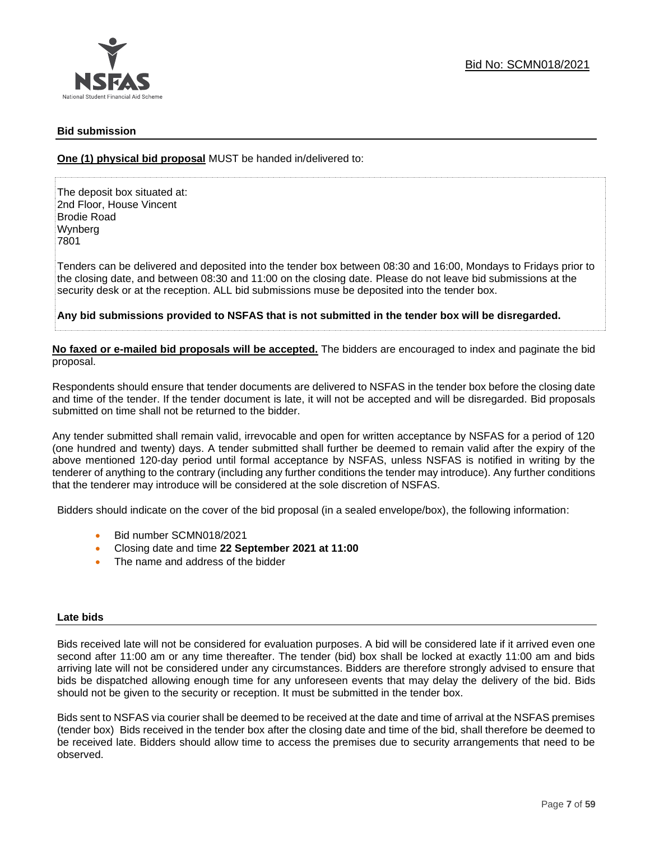

# **Bid submission**

**One (1) physical bid proposal** MUST be handed in/delivered to:

The deposit box situated at: 2nd Floor, House Vincent Brodie Road Wynberg 7801

Tenders can be delivered and deposited into the tender box between 08:30 and 16:00, Mondays to Fridays prior to the closing date, and between 08:30 and 11:00 on the closing date. Please do not leave bid submissions at the security desk or at the reception. ALL bid submissions muse be deposited into the tender box.

**Any bid submissions provided to NSFAS that is not submitted in the tender box will be disregarded.**

**No faxed or e-mailed bid proposals will be accepted.** The bidders are encouraged to index and paginate the bid proposal.

Respondents should ensure that tender documents are delivered to NSFAS in the tender box before the closing date and time of the tender. If the tender document is late, it will not be accepted and will be disregarded. Bid proposals submitted on time shall not be returned to the bidder.

Any tender submitted shall remain valid, irrevocable and open for written acceptance by NSFAS for a period of 120 (one hundred and twenty) days. A tender submitted shall further be deemed to remain valid after the expiry of the above mentioned 120-day period until formal acceptance by NSFAS, unless NSFAS is notified in writing by the tenderer of anything to the contrary (including any further conditions the tender may introduce). Any further conditions that the tenderer may introduce will be considered at the sole discretion of NSFAS.

Bidders should indicate on the cover of the bid proposal (in a sealed envelope/box), the following information:

- Bid number SCMN018/2021
- Closing date and time **22 September 2021 at 11:00**
- The name and address of the bidder

#### **Late bids**

Bids received late will not be considered for evaluation purposes. A bid will be considered late if it arrived even one second after 11:00 am or any time thereafter. The tender (bid) box shall be locked at exactly 11:00 am and bids arriving late will not be considered under any circumstances. Bidders are therefore strongly advised to ensure that bids be dispatched allowing enough time for any unforeseen events that may delay the delivery of the bid. Bids should not be given to the security or reception. It must be submitted in the tender box.

Bids sent to NSFAS via courier shall be deemed to be received at the date and time of arrival at the NSFAS premises (tender box) Bids received in the tender box after the closing date and time of the bid, shall therefore be deemed to be received late. Bidders should allow time to access the premises due to security arrangements that need to be observed.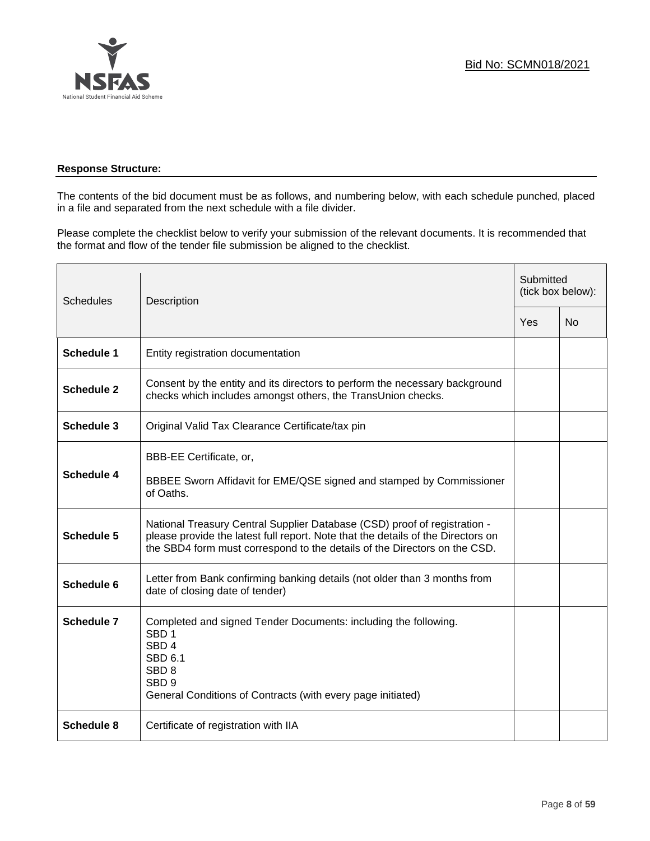

# **Response Structure:**

The contents of the bid document must be as follows, and numbering below, with each schedule punched, placed in a file and separated from the next schedule with a file divider.

Please complete the checklist below to verify your submission of the relevant documents. It is recommended that the format and flow of the tender file submission be aligned to the checklist.

| <b>Schedules</b>  | Description                                                                                                                                                                                                                                |     | Submitted<br>(tick box below): |  |
|-------------------|--------------------------------------------------------------------------------------------------------------------------------------------------------------------------------------------------------------------------------------------|-----|--------------------------------|--|
|                   |                                                                                                                                                                                                                                            | Yes | <b>No</b>                      |  |
| <b>Schedule 1</b> | Entity registration documentation                                                                                                                                                                                                          |     |                                |  |
| <b>Schedule 2</b> | Consent by the entity and its directors to perform the necessary background<br>checks which includes amongst others, the TransUnion checks.                                                                                                |     |                                |  |
| <b>Schedule 3</b> | Original Valid Tax Clearance Certificate/tax pin                                                                                                                                                                                           |     |                                |  |
| <b>Schedule 4</b> | BBB-EE Certificate, or,<br>BBBEE Sworn Affidavit for EME/QSE signed and stamped by Commissioner<br>of Oaths.                                                                                                                               |     |                                |  |
| <b>Schedule 5</b> | National Treasury Central Supplier Database (CSD) proof of registration -<br>please provide the latest full report. Note that the details of the Directors on<br>the SBD4 form must correspond to the details of the Directors on the CSD. |     |                                |  |
| Schedule 6        | Letter from Bank confirming banking details (not older than 3 months from<br>date of closing date of tender)                                                                                                                               |     |                                |  |
| Schedule 7        | Completed and signed Tender Documents: including the following.<br>SBD <sub>1</sub><br>SBD <sub>4</sub><br>SBD <sub>6.1</sub><br>SBD <sub>8</sub><br>SBD <sub>9</sub><br>General Conditions of Contracts (with every page initiated)       |     |                                |  |
| <b>Schedule 8</b> | Certificate of registration with IIA                                                                                                                                                                                                       |     |                                |  |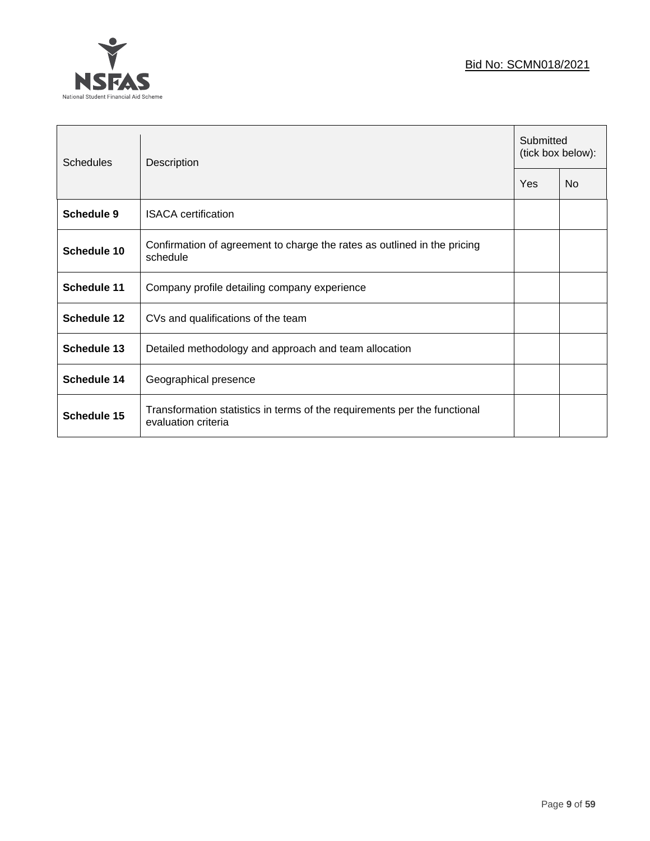# Bid No: SCMN018/2021



| Schedules          | Description                                                                                      |  | Submitted<br>(tick box below): |  |
|--------------------|--------------------------------------------------------------------------------------------------|--|--------------------------------|--|
|                    |                                                                                                  |  | <b>No</b>                      |  |
| Schedule 9         | <b>ISACA</b> certification                                                                       |  |                                |  |
| Schedule 10        | Confirmation of agreement to charge the rates as outlined in the pricing<br>schedule             |  |                                |  |
| Schedule 11        | Company profile detailing company experience                                                     |  |                                |  |
| Schedule 12        | CVs and qualifications of the team                                                               |  |                                |  |
| <b>Schedule 13</b> | Detailed methodology and approach and team allocation                                            |  |                                |  |
| Schedule 14        | Geographical presence                                                                            |  |                                |  |
| Schedule 15        | Transformation statistics in terms of the requirements per the functional<br>evaluation criteria |  |                                |  |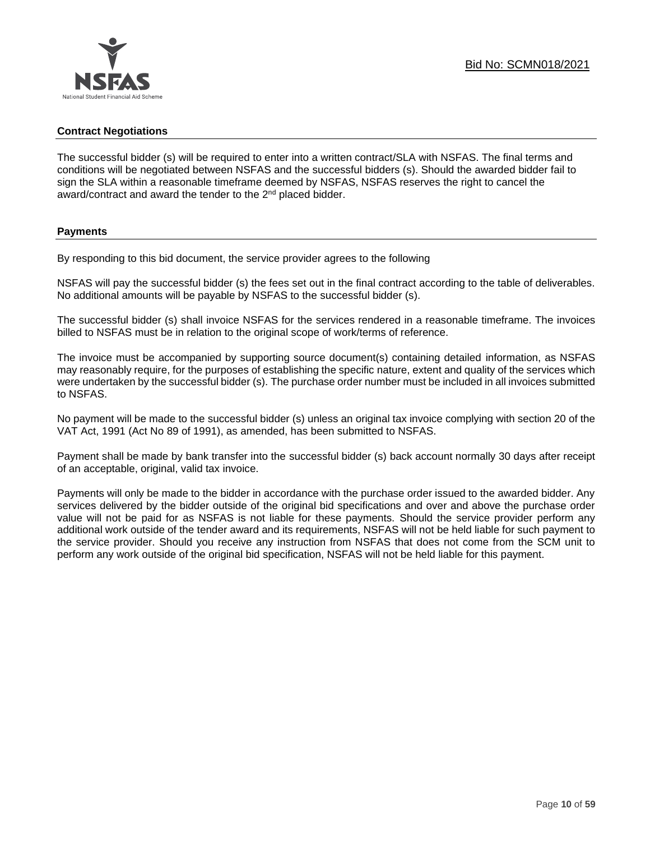# **Contract Negotiations**

The successful bidder (s) will be required to enter into a written contract/SLA with NSFAS. The final terms and conditions will be negotiated between NSFAS and the successful bidders (s). Should the awarded bidder fail to sign the SLA within a reasonable timeframe deemed by NSFAS, NSFAS reserves the right to cancel the award/contract and award the tender to the 2<sup>nd</sup> placed bidder.

# **Payments**

By responding to this bid document, the service provider agrees to the following

NSFAS will pay the successful bidder (s) the fees set out in the final contract according to the table of deliverables. No additional amounts will be payable by NSFAS to the successful bidder (s).

The successful bidder (s) shall invoice NSFAS for the services rendered in a reasonable timeframe. The invoices billed to NSFAS must be in relation to the original scope of work/terms of reference.

The invoice must be accompanied by supporting source document(s) containing detailed information, as NSFAS may reasonably require, for the purposes of establishing the specific nature, extent and quality of the services which were undertaken by the successful bidder (s). The purchase order number must be included in all invoices submitted to NSFAS.

No payment will be made to the successful bidder (s) unless an original tax invoice complying with section 20 of the VAT Act, 1991 (Act No 89 of 1991), as amended, has been submitted to NSFAS.

Payment shall be made by bank transfer into the successful bidder (s) back account normally 30 days after receipt of an acceptable, original, valid tax invoice.

Payments will only be made to the bidder in accordance with the purchase order issued to the awarded bidder. Any services delivered by the bidder outside of the original bid specifications and over and above the purchase order value will not be paid for as NSFAS is not liable for these payments. Should the service provider perform any additional work outside of the tender award and its requirements, NSFAS will not be held liable for such payment to the service provider. Should you receive any instruction from NSFAS that does not come from the SCM unit to perform any work outside of the original bid specification, NSFAS will not be held liable for this payment.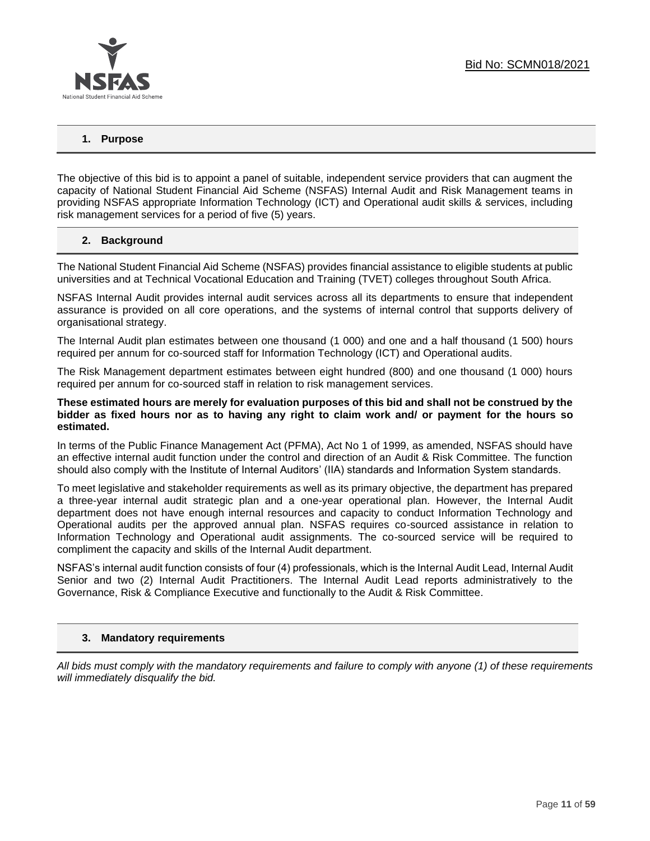

# **1. Purpose**

The objective of this bid is to appoint a panel of suitable, independent service providers that can augment the capacity of National Student Financial Aid Scheme (NSFAS) Internal Audit and Risk Management teams in providing NSFAS appropriate Information Technology (ICT) and Operational audit skills & services, including risk management services for a period of five (5) years.

# **2. Background**

The National Student Financial Aid Scheme (NSFAS) provides financial assistance to eligible students at public universities and at Technical Vocational Education and Training (TVET) colleges throughout South Africa.

NSFAS Internal Audit provides internal audit services across all its departments to ensure that independent assurance is provided on all core operations, and the systems of internal control that supports delivery of organisational strategy.

The Internal Audit plan estimates between one thousand (1 000) and one and a half thousand (1 500) hours required per annum for co-sourced staff for Information Technology (ICT) and Operational audits.

The Risk Management department estimates between eight hundred (800) and one thousand (1 000) hours required per annum for co-sourced staff in relation to risk management services.

#### **These estimated hours are merely for evaluation purposes of this bid and shall not be construed by the bidder as fixed hours nor as to having any right to claim work and/ or payment for the hours so estimated.**

In terms of the Public Finance Management Act (PFMA), Act No 1 of 1999, as amended, NSFAS should have an effective internal audit function under the control and direction of an Audit & Risk Committee. The function should also comply with the Institute of Internal Auditors' (IIA) standards and Information System standards.

To meet legislative and stakeholder requirements as well as its primary objective, the department has prepared a three-year internal audit strategic plan and a one-year operational plan. However, the Internal Audit department does not have enough internal resources and capacity to conduct Information Technology and Operational audits per the approved annual plan. NSFAS requires co-sourced assistance in relation to Information Technology and Operational audit assignments. The co-sourced service will be required to compliment the capacity and skills of the Internal Audit department.

NSFAS's internal audit function consists of four (4) professionals, which is the Internal Audit Lead, Internal Audit Senior and two (2) Internal Audit Practitioners. The Internal Audit Lead reports administratively to the Governance, Risk & Compliance Executive and functionally to the Audit & Risk Committee.

#### **3. Mandatory requirements**

*All bids must comply with the mandatory requirements and failure to comply with anyone (1) of these requirements will immediately disqualify the bid.*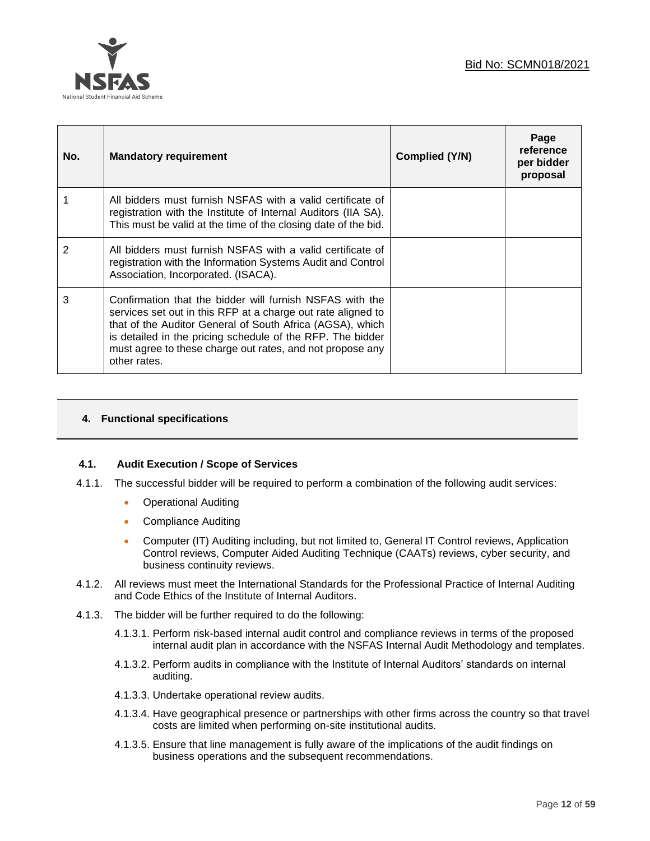

| No. | <b>Mandatory requirement</b>                                                                                                                                                                                                                                                                                                     | <b>Complied (Y/N)</b> | Page<br>reference<br>per bidder<br>proposal |
|-----|----------------------------------------------------------------------------------------------------------------------------------------------------------------------------------------------------------------------------------------------------------------------------------------------------------------------------------|-----------------------|---------------------------------------------|
|     | All bidders must furnish NSFAS with a valid certificate of<br>registration with the Institute of Internal Auditors (IIA SA).<br>This must be valid at the time of the closing date of the bid.                                                                                                                                   |                       |                                             |
| 2   | All bidders must furnish NSFAS with a valid certificate of<br>registration with the Information Systems Audit and Control<br>Association, Incorporated. (ISACA).                                                                                                                                                                 |                       |                                             |
| 3   | Confirmation that the bidder will furnish NSFAS with the<br>services set out in this RFP at a charge out rate aligned to<br>that of the Auditor General of South Africa (AGSA), which<br>is detailed in the pricing schedule of the RFP. The bidder<br>must agree to these charge out rates, and not propose any<br>other rates. |                       |                                             |

# **4. Functional specifications**

# **4.1. Audit Execution / Scope of Services**

- 4.1.1. The successful bidder will be required to perform a combination of the following audit services:
	- Operational Auditing
	- Compliance Auditing
	- Computer (IT) Auditing including, but not limited to, General IT Control reviews, Application Control reviews, Computer Aided Auditing Technique (CAATs) reviews, cyber security, and business continuity reviews.
- 4.1.2. All reviews must meet the International Standards for the Professional Practice of Internal Auditing and Code Ethics of the Institute of Internal Auditors.
- 4.1.3. The bidder will be further required to do the following:
	- 4.1.3.1. Perform risk-based internal audit control and compliance reviews in terms of the proposed internal audit plan in accordance with the NSFAS Internal Audit Methodology and templates.
	- 4.1.3.2. Perform audits in compliance with the Institute of Internal Auditors' standards on internal auditing.
	- 4.1.3.3. Undertake operational review audits.
	- 4.1.3.4. Have geographical presence or partnerships with other firms across the country so that travel costs are limited when performing on-site institutional audits.
	- 4.1.3.5. Ensure that line management is fully aware of the implications of the audit findings on business operations and the subsequent recommendations.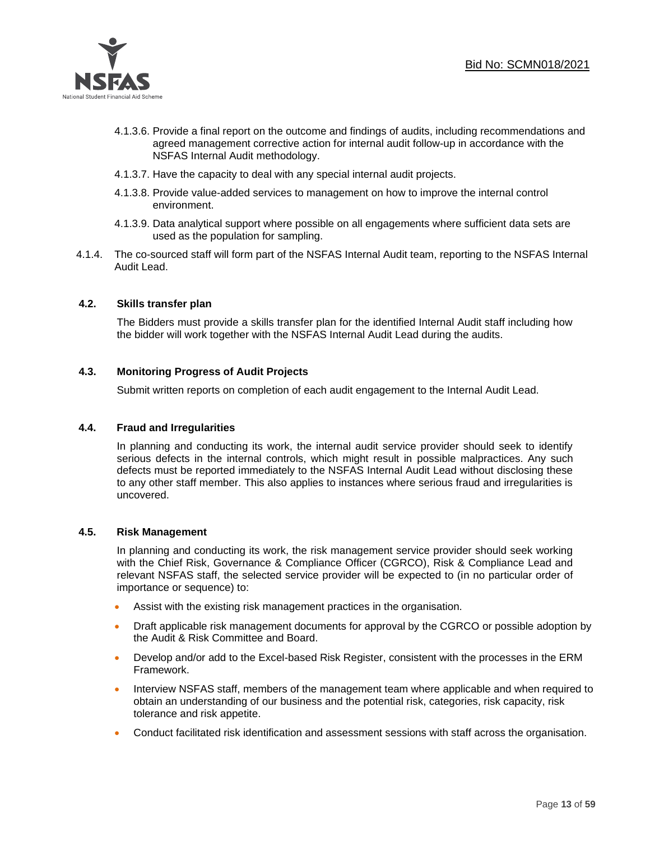

- 4.1.3.6. Provide a final report on the outcome and findings of audits, including recommendations and agreed management corrective action for internal audit follow-up in accordance with the NSFAS Internal Audit methodology.
- 4.1.3.7. Have the capacity to deal with any special internal audit projects.
- 4.1.3.8. Provide value-added services to management on how to improve the internal control environment.
- 4.1.3.9. Data analytical support where possible on all engagements where sufficient data sets are used as the population for sampling.
- 4.1.4. The co-sourced staff will form part of the NSFAS Internal Audit team, reporting to the NSFAS Internal Audit Lead.

# **4.2. Skills transfer plan**

The Bidders must provide a skills transfer plan for the identified Internal Audit staff including how the bidder will work together with the NSFAS Internal Audit Lead during the audits.

# **4.3. Monitoring Progress of Audit Projects**

Submit written reports on completion of each audit engagement to the Internal Audit Lead.

# **4.4. Fraud and Irregularities**

In planning and conducting its work, the internal audit service provider should seek to identify serious defects in the internal controls, which might result in possible malpractices. Any such defects must be reported immediately to the NSFAS Internal Audit Lead without disclosing these to any other staff member. This also applies to instances where serious fraud and irregularities is uncovered.

# **4.5. Risk Management**

In planning and conducting its work, the risk management service provider should seek working with the Chief Risk, Governance & Compliance Officer (CGRCO), Risk & Compliance Lead and relevant NSFAS staff, the selected service provider will be expected to (in no particular order of importance or sequence) to:

- Assist with the existing risk management practices in the organisation.
- Draft applicable risk management documents for approval by the CGRCO or possible adoption by the Audit & Risk Committee and Board.
- Develop and/or add to the Excel-based Risk Register, consistent with the processes in the ERM Framework.
- Interview NSFAS staff, members of the management team where applicable and when required to obtain an understanding of our business and the potential risk, categories, risk capacity, risk tolerance and risk appetite.
- Conduct facilitated risk identification and assessment sessions with staff across the organisation.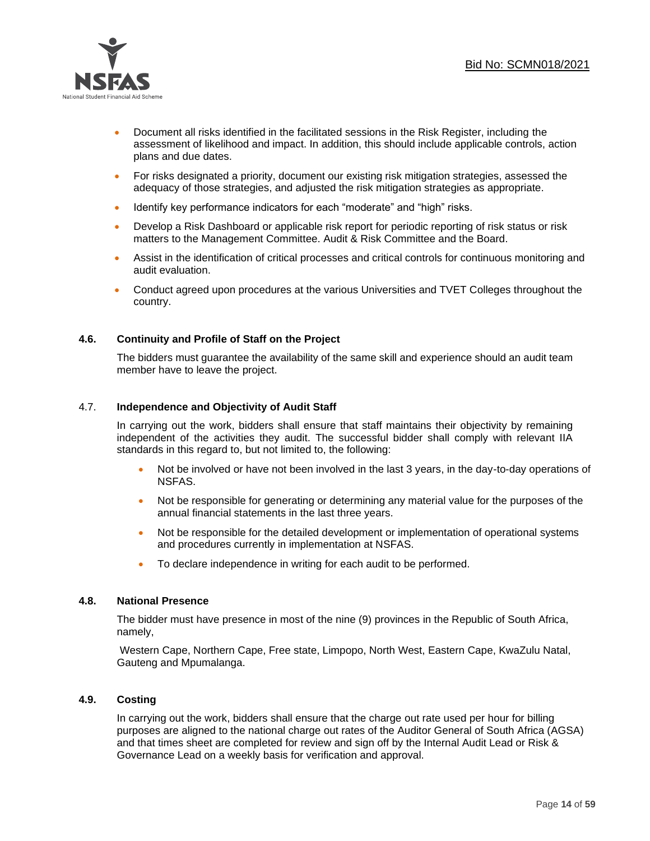

- Document all risks identified in the facilitated sessions in the Risk Register, including the assessment of likelihood and impact. In addition, this should include applicable controls, action plans and due dates.
- For risks designated a priority, document our existing risk mitigation strategies, assessed the adequacy of those strategies, and adjusted the risk mitigation strategies as appropriate.
- Identify key performance indicators for each "moderate" and "high" risks.
- Develop a Risk Dashboard or applicable risk report for periodic reporting of risk status or risk matters to the Management Committee. Audit & Risk Committee and the Board.
- Assist in the identification of critical processes and critical controls for continuous monitoring and audit evaluation.
- Conduct agreed upon procedures at the various Universities and TVET Colleges throughout the country.

# **4.6. Continuity and Profile of Staff on the Project**

The bidders must guarantee the availability of the same skill and experience should an audit team member have to leave the project.

# 4.7. **Independence and Objectivity of Audit Staff**

In carrying out the work, bidders shall ensure that staff maintains their objectivity by remaining independent of the activities they audit. The successful bidder shall comply with relevant IIA standards in this regard to, but not limited to, the following:

- Not be involved or have not been involved in the last 3 years, in the day-to-day operations of NSFAS.
- Not be responsible for generating or determining any material value for the purposes of the annual financial statements in the last three years.
- Not be responsible for the detailed development or implementation of operational systems and procedures currently in implementation at NSFAS.
- To declare independence in writing for each audit to be performed.

#### **4.8. National Presence**

The bidder must have presence in most of the nine (9) provinces in the Republic of South Africa, namely,

Western Cape, Northern Cape, Free state, Limpopo, North West, Eastern Cape, KwaZulu Natal, Gauteng and Mpumalanga.

#### **4.9. Costing**

In carrying out the work, bidders shall ensure that the charge out rate used per hour for billing purposes are aligned to the national charge out rates of the Auditor General of South Africa (AGSA) and that times sheet are completed for review and sign off by the Internal Audit Lead or Risk & Governance Lead on a weekly basis for verification and approval.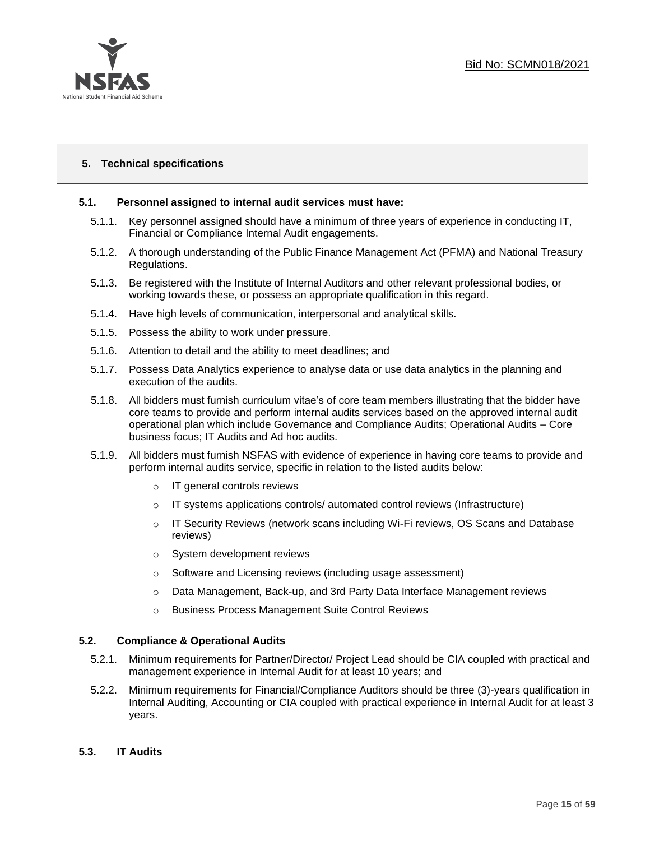

# **5. Technical specifications**

# **5.1. Personnel assigned to internal audit services must have:**

- 5.1.1. Key personnel assigned should have a minimum of three years of experience in conducting IT, Financial or Compliance Internal Audit engagements.
- 5.1.2. A thorough understanding of the Public Finance Management Act (PFMA) and National Treasury Regulations.
- 5.1.3. Be registered with the Institute of Internal Auditors and other relevant professional bodies, or working towards these, or possess an appropriate qualification in this regard.
- 5.1.4. Have high levels of communication, interpersonal and analytical skills.
- 5.1.5. Possess the ability to work under pressure.
- 5.1.6. Attention to detail and the ability to meet deadlines; and
- 5.1.7. Possess Data Analytics experience to analyse data or use data analytics in the planning and execution of the audits.
- 5.1.8. All bidders must furnish curriculum vitae's of core team members illustrating that the bidder have core teams to provide and perform internal audits services based on the approved internal audit operational plan which include Governance and Compliance Audits; Operational Audits – Core business focus; IT Audits and Ad hoc audits.
- 5.1.9. All bidders must furnish NSFAS with evidence of experience in having core teams to provide and perform internal audits service, specific in relation to the listed audits below:
	- o IT general controls reviews
	- $\circ$  IT systems applications controls/ automated control reviews (Infrastructure)
	- $\circ$  IT Security Reviews (network scans including Wi-Fi reviews, OS Scans and Database reviews)
	- o System development reviews
	- o Software and Licensing reviews (including usage assessment)
	- o Data Management, Back-up, and 3rd Party Data Interface Management reviews
	- o Business Process Management Suite Control Reviews

#### **5.2. Compliance & Operational Audits**

- 5.2.1. Minimum requirements for Partner/Director/ Project Lead should be CIA coupled with practical and management experience in Internal Audit for at least 10 years; and
- 5.2.2. Minimum requirements for Financial/Compliance Auditors should be three (3)-years qualification in Internal Auditing, Accounting or CIA coupled with practical experience in Internal Audit for at least 3 years.
- **5.3. IT Audits**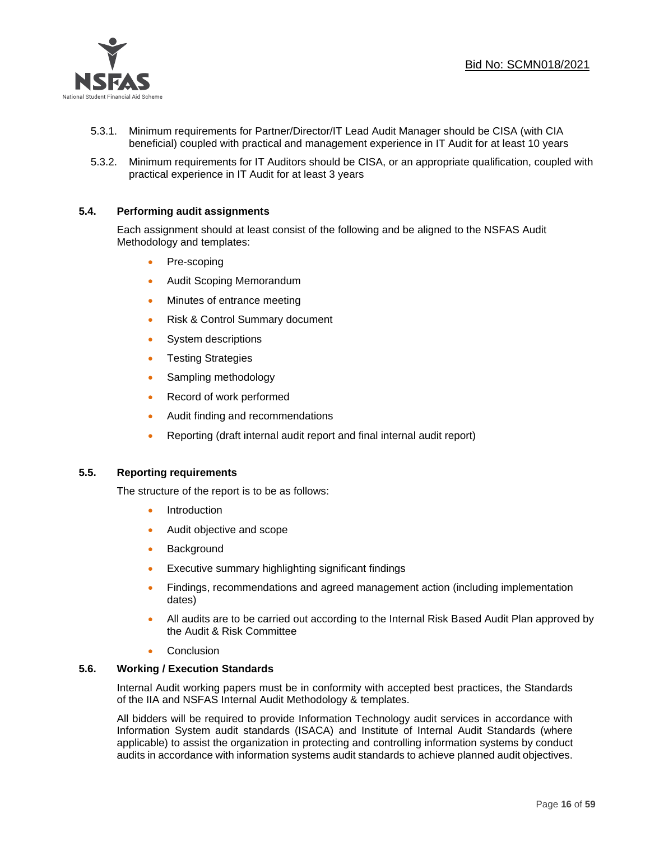

- 5.3.1. Minimum requirements for Partner/Director/IT Lead Audit Manager should be CISA (with CIA beneficial) coupled with practical and management experience in IT Audit for at least 10 years
- 5.3.2. Minimum requirements for IT Auditors should be CISA, or an appropriate qualification, coupled with practical experience in IT Audit for at least 3 years

# **5.4. Performing audit assignments**

Each assignment should at least consist of the following and be aligned to the NSFAS Audit Methodology and templates:

- Pre-scoping
- Audit Scoping Memorandum
- Minutes of entrance meeting
- Risk & Control Summary document
- System descriptions
- Testing Strategies
- Sampling methodology
- Record of work performed
- Audit finding and recommendations
- Reporting (draft internal audit report and final internal audit report)

# **5.5. Reporting requirements**

The structure of the report is to be as follows:

- **Introduction**
- Audit objective and scope
- Background
- Executive summary highlighting significant findings
- Findings, recommendations and agreed management action (including implementation dates)
- All audits are to be carried out according to the Internal Risk Based Audit Plan approved by the Audit & Risk Committee
- **Conclusion**

#### **5.6. Working / Execution Standards**

Internal Audit working papers must be in conformity with accepted best practices, the Standards of the IIA and NSFAS Internal Audit Methodology & templates.

All bidders will be required to provide Information Technology audit services in accordance with Information System audit standards (ISACA) and Institute of Internal Audit Standards (where applicable) to assist the organization in protecting and controlling information systems by conduct audits in accordance with information systems audit standards to achieve planned audit objectives.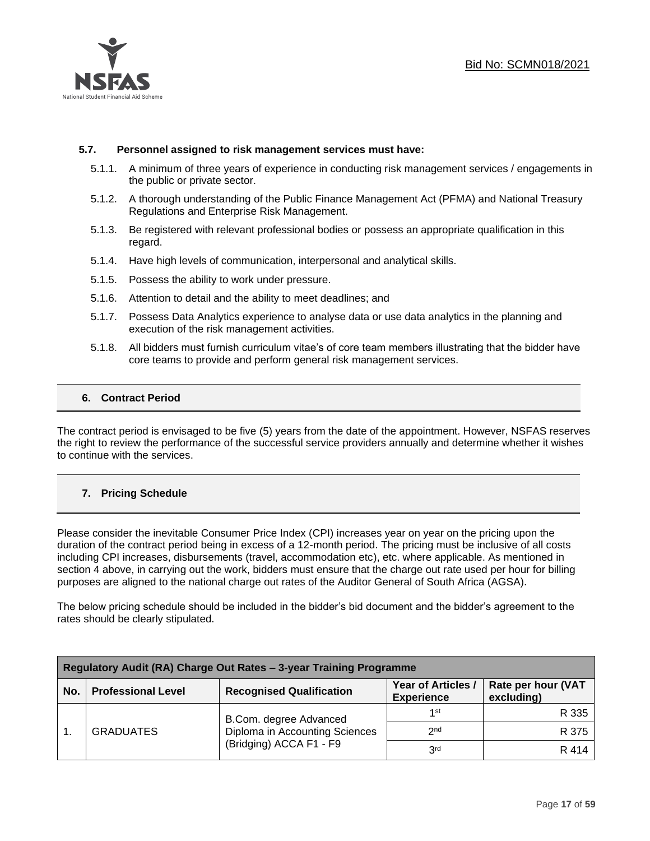

#### **5.7. Personnel assigned to risk management services must have:**

- 5.1.1. A minimum of three years of experience in conducting risk management services / engagements in the public or private sector.
- 5.1.2. A thorough understanding of the Public Finance Management Act (PFMA) and National Treasury Regulations and Enterprise Risk Management.
- 5.1.3. Be registered with relevant professional bodies or possess an appropriate qualification in this regard.
- 5.1.4. Have high levels of communication, interpersonal and analytical skills.
- 5.1.5. Possess the ability to work under pressure.
- 5.1.6. Attention to detail and the ability to meet deadlines; and
- 5.1.7. Possess Data Analytics experience to analyse data or use data analytics in the planning and execution of the risk management activities.
- 5.1.8. All bidders must furnish curriculum vitae's of core team members illustrating that the bidder have core teams to provide and perform general risk management services.

# **6. Contract Period**

The contract period is envisaged to be five (5) years from the date of the appointment. However, NSFAS reserves the right to review the performance of the successful service providers annually and determine whether it wishes to continue with the services.

# **7. Pricing Schedule**

Please consider the inevitable Consumer Price Index (CPI) increases year on year on the pricing upon the duration of the contract period being in excess of a 12-month period. The pricing must be inclusive of all costs including CPI increases, disbursements (travel, accommodation etc), etc. where applicable. As mentioned in section 4 above, in carrying out the work, bidders must ensure that the charge out rate used per hour for billing purposes are aligned to the national charge out rates of the Auditor General of South Africa (AGSA).

The below pricing schedule should be included in the bidder's bid document and the bidder's agreement to the rates should be clearly stipulated.

| Regulatory Audit (RA) Charge Out Rates - 3-year Training Programme |                           |                                                                                     |                                         |                                  |
|--------------------------------------------------------------------|---------------------------|-------------------------------------------------------------------------------------|-----------------------------------------|----------------------------------|
| No.                                                                | <b>Professional Level</b> | <b>Recognised Qualification</b>                                                     | Year of Articles /<br><b>Experience</b> | Rate per hour (VAT<br>excluding) |
|                                                                    | <b>GRADUATES</b>          | B.Com. degree Advanced<br>Diploma in Accounting Sciences<br>(Bridging) ACCA F1 - F9 | 1st                                     | R 335                            |
|                                                                    |                           |                                                                                     | 2 <sub>nd</sub>                         | R 375                            |
|                                                                    |                           |                                                                                     | 3 <sup>rd</sup>                         | R 414                            |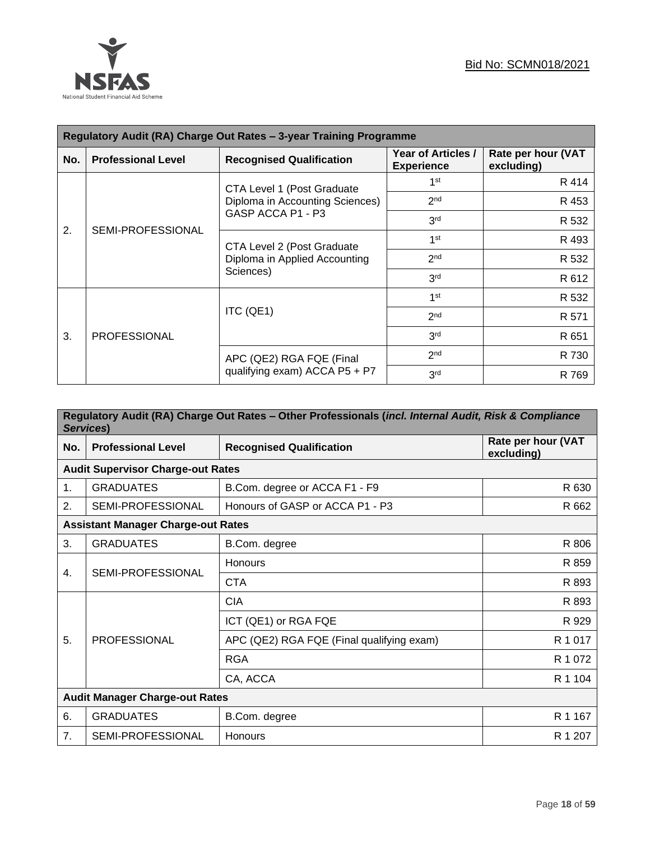

| Regulatory Audit (RA) Charge Out Rates - 3-year Training Programme |                           |                                                                          |                                         |                                  |  |
|--------------------------------------------------------------------|---------------------------|--------------------------------------------------------------------------|-----------------------------------------|----------------------------------|--|
| No.                                                                | <b>Professional Level</b> | <b>Recognised Qualification</b>                                          | Year of Articles /<br><b>Experience</b> | Rate per hour (VAT<br>excluding) |  |
|                                                                    |                           | CTA Level 1 (Post Graduate                                               | 1 <sup>st</sup>                         | R 414                            |  |
|                                                                    |                           | Diploma in Accounting Sciences)                                          | 2 <sub>nd</sub>                         | R 453                            |  |
| 2.                                                                 | SEMI-PROFESSIONAL         | GASP ACCA P1 - P3                                                        | 3 <sup>rd</sup>                         | R 532                            |  |
|                                                                    |                           | CTA Level 2 (Post Graduate<br>Diploma in Applied Accounting<br>Sciences) | 1 <sup>st</sup>                         | R 493                            |  |
|                                                                    |                           |                                                                          | 2 <sub>nd</sub>                         | R 532                            |  |
|                                                                    |                           |                                                                          | 3 <sup>rd</sup>                         | R 612                            |  |
|                                                                    |                           | ITC (QE1)                                                                | 1 <sup>st</sup>                         | R 532                            |  |
|                                                                    |                           |                                                                          | 2 <sub>nd</sub>                         | R 571                            |  |
| 3.                                                                 | <b>PROFESSIONAL</b>       |                                                                          | 3 <sub>rd</sub>                         | R 651                            |  |
|                                                                    |                           | APC (QE2) RGA FQE (Final                                                 | 2 <sub>nd</sub>                         | R 730                            |  |
|                                                                    |                           | qualifying exam) ACCA P5 + P7                                            | 3 <sup>rd</sup>                         | R 769                            |  |

| Regulatory Audit (RA) Charge Out Rates - Other Professionals (incl. Internal Audit, Risk & Compliance<br>Services) |                                           |                                           |                                  |  |  |
|--------------------------------------------------------------------------------------------------------------------|-------------------------------------------|-------------------------------------------|----------------------------------|--|--|
| No.                                                                                                                | <b>Professional Level</b>                 | <b>Recognised Qualification</b>           | Rate per hour (VAT<br>excluding) |  |  |
|                                                                                                                    | <b>Audit Supervisor Charge-out Rates</b>  |                                           |                                  |  |  |
| 1.                                                                                                                 | <b>GRADUATES</b>                          | B.Com. degree or ACCA F1 - F9             | R 630                            |  |  |
| 2.                                                                                                                 | SEMI-PROFESSIONAL                         | Honours of GASP or ACCA P1 - P3           | R 662                            |  |  |
|                                                                                                                    | <b>Assistant Manager Charge-out Rates</b> |                                           |                                  |  |  |
| 3.                                                                                                                 | <b>GRADUATES</b>                          | B.Com. degree                             | R 806                            |  |  |
|                                                                                                                    | SEMI-PROFESSIONAL                         | <b>Honours</b>                            | R 859                            |  |  |
| 4.                                                                                                                 |                                           | <b>CTA</b>                                | R 893                            |  |  |
|                                                                                                                    | <b>PROFESSIONAL</b>                       | <b>CIA</b>                                | R 893                            |  |  |
|                                                                                                                    |                                           | ICT (QE1) or RGA FQE                      | R 929                            |  |  |
| 5.                                                                                                                 |                                           | APC (QE2) RGA FQE (Final qualifying exam) | R 1 0 1 7                        |  |  |
|                                                                                                                    |                                           | <b>RGA</b>                                | R 1 072                          |  |  |
|                                                                                                                    |                                           | CA, ACCA                                  | R 1 104                          |  |  |
|                                                                                                                    | <b>Audit Manager Charge-out Rates</b>     |                                           |                                  |  |  |
| 6.                                                                                                                 | <b>GRADUATES</b>                          | B.Com. degree                             | R 1 167                          |  |  |
| 7.                                                                                                                 | <b>SEMI-PROFESSIONAL</b>                  | <b>Honours</b>                            | R 1 207                          |  |  |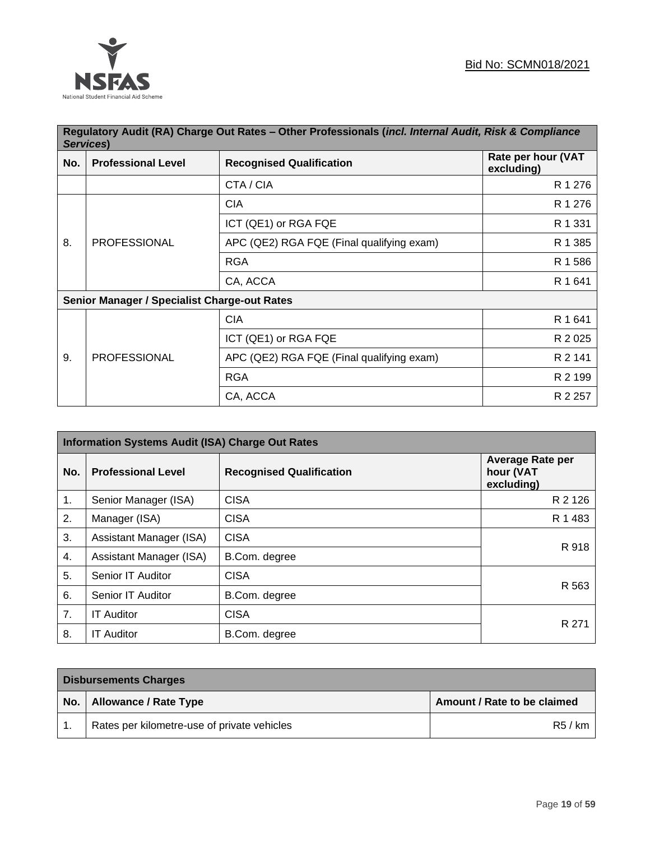

|     | Regulatory Audit (RA) Charge Out Rates - Other Professionals (incl. Internal Audit, Risk & Compliance<br>Services) |                                           |                                  |  |
|-----|--------------------------------------------------------------------------------------------------------------------|-------------------------------------------|----------------------------------|--|
| No. | <b>Professional Level</b>                                                                                          | <b>Recognised Qualification</b>           | Rate per hour (VAT<br>excluding) |  |
|     |                                                                                                                    | CTA / CIA                                 | R 1 276                          |  |
|     |                                                                                                                    | <b>CIA</b>                                | R 1 276                          |  |
|     |                                                                                                                    | ICT (QE1) or RGA FQE                      | R 1 331                          |  |
| 8.  | <b>PROFESSIONAL</b>                                                                                                | APC (QE2) RGA FQE (Final qualifying exam) | R 1 385                          |  |
|     |                                                                                                                    | <b>RGA</b>                                | R 1 586                          |  |
|     |                                                                                                                    | CA, ACCA                                  | R 1 641                          |  |
|     | <b>Senior Manager / Specialist Charge-out Rates</b>                                                                |                                           |                                  |  |
|     |                                                                                                                    | <b>CIA</b>                                | R 1 641                          |  |
|     |                                                                                                                    | ICT (QE1) or RGA FQE                      | R 2 0 2 5                        |  |
| 9.  | <b>PROFESSIONAL</b>                                                                                                | APC (QE2) RGA FQE (Final qualifying exam) | R 2 141                          |  |
|     |                                                                                                                    | <b>RGA</b>                                | R 2 199                          |  |
|     |                                                                                                                    | CA, ACCA                                  | R 2 257                          |  |

| <b>Information Systems Audit (ISA) Charge Out Rates</b> |                           |                                 |                                                    |
|---------------------------------------------------------|---------------------------|---------------------------------|----------------------------------------------------|
| No.                                                     | <b>Professional Level</b> | <b>Recognised Qualification</b> | <b>Average Rate per</b><br>hour (VAT<br>excluding) |
| 1.                                                      | Senior Manager (ISA)      | <b>CISA</b>                     | R 2 126                                            |
| 2.                                                      | Manager (ISA)             | <b>CISA</b>                     | R 1 483                                            |
| 3.                                                      | Assistant Manager (ISA)   | <b>CISA</b>                     | R 918                                              |
| 4.                                                      | Assistant Manager (ISA)   | B.Com. degree                   |                                                    |
| 5.                                                      | Senior IT Auditor         | <b>CISA</b>                     |                                                    |
| 6.                                                      | Senior IT Auditor         | B.Com. degree                   | R 563                                              |
| 7 <sub>1</sub>                                          | <b>IT Auditor</b>         | <b>CISA</b>                     | R 271                                              |
| 8.                                                      | <b>IT Auditor</b>         | B.Com. degree                   |                                                    |

| <b>Disbursements Charges</b> |                                             |                             |
|------------------------------|---------------------------------------------|-----------------------------|
| No.                          | <b>Allowance / Rate Type</b>                | Amount / Rate to be claimed |
|                              | Rates per kilometre-use of private vehicles | R5/km                       |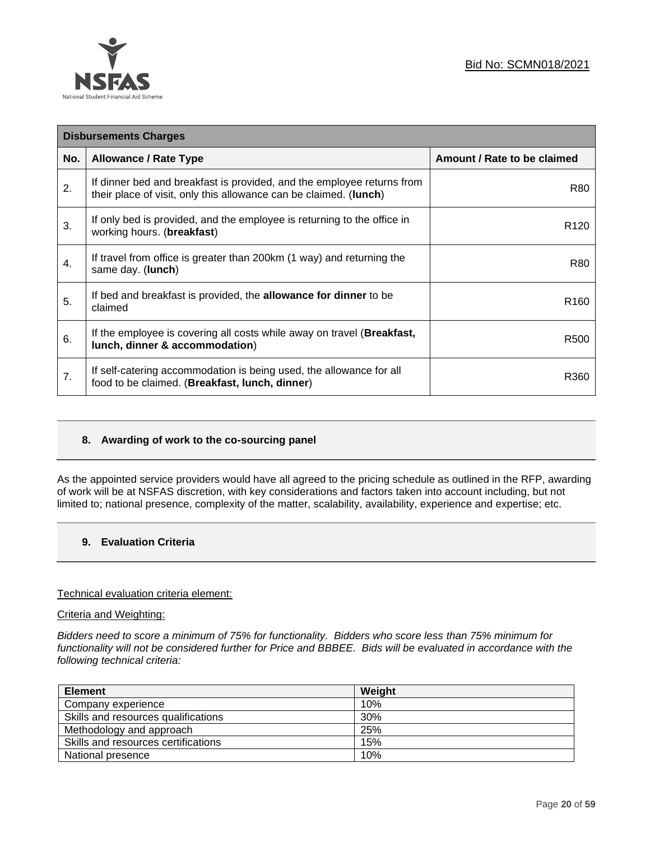

| <b>Disbursements Charges</b> |                                                                                                                                             |                             |
|------------------------------|---------------------------------------------------------------------------------------------------------------------------------------------|-----------------------------|
| No.                          | <b>Allowance / Rate Type</b>                                                                                                                | Amount / Rate to be claimed |
| 2.                           | If dinner bed and breakfast is provided, and the employee returns from<br>their place of visit, only this allowance can be claimed. (lunch) | R80                         |
| 3.                           | If only bed is provided, and the employee is returning to the office in<br>working hours. (breakfast)                                       | R <sub>120</sub>            |
| 4.                           | If travel from office is greater than 200km (1 way) and returning the<br>same day. (lunch)                                                  | R80                         |
| 5.                           | If bed and breakfast is provided, the <b>allowance for dinner</b> to be<br>claimed                                                          | R <sub>160</sub>            |
| 6.                           | If the employee is covering all costs while away on travel ( <b>Breakfast</b> ,<br>lunch, dinner & accommodation)                           | R <sub>500</sub>            |
| 7.                           | If self-catering accommodation is being used, the allowance for all<br>food to be claimed. (Breakfast, lunch, dinner)                       | R360                        |

# **8. Awarding of work to the co-sourcing panel**

As the appointed service providers would have all agreed to the pricing schedule as outlined in the RFP, awarding of work will be at NSFAS discretion, with key considerations and factors taken into account including, but not limited to; national presence, complexity of the matter, scalability, availability, experience and expertise; etc.

# **9. Evaluation Criteria**

#### Technical evaluation criteria element:

#### Criteria and Weighting:

*Bidders need to score a minimum of 75% for functionality. Bidders who score less than 75% minimum for functionality will not be considered further for Price and BBBEE. Bids will be evaluated in accordance with the following technical criteria:*

| <b>Element</b>                      | Weight |
|-------------------------------------|--------|
| Company experience                  | 10%    |
| Skills and resources qualifications | 30%    |
| Methodology and approach            | 25%    |
| Skills and resources certifications | 15%    |
| National presence                   | 10%    |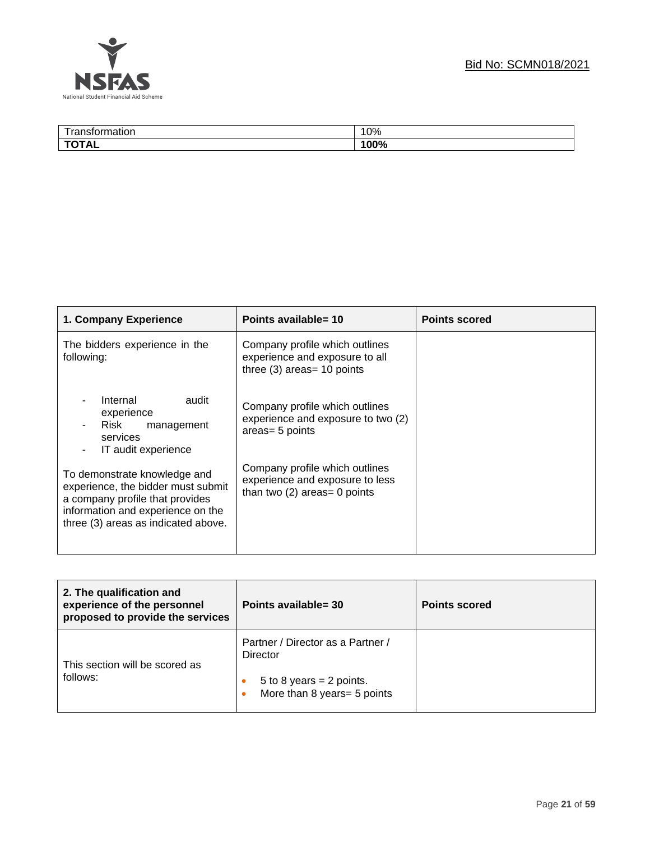



| $- - -$<br>. | 100/<br>U% |
|--------------|------------|
| --<br>18L    | 100%       |

| 1. Company Experience                                                                                                                                                             | Points available= 10                                                                                | <b>Points scored</b> |
|-----------------------------------------------------------------------------------------------------------------------------------------------------------------------------------|-----------------------------------------------------------------------------------------------------|----------------------|
| The bidders experience in the<br>following:                                                                                                                                       | Company profile which outlines<br>experience and exposure to all<br>three $(3)$ areas= 10 points    |                      |
| Internal<br>audit<br>experience<br>Risk<br>management<br>$\blacksquare$<br>services<br>IT audit experience<br>$\overline{\phantom{a}}$                                            | Company profile which outlines<br>experience and exposure to two (2)<br>areas= 5 points             |                      |
| To demonstrate knowledge and<br>experience, the bidder must submit<br>a company profile that provides<br>information and experience on the<br>three (3) areas as indicated above. | Company profile which outlines<br>experience and exposure to less<br>than two $(2)$ areas= 0 points |                      |

| 2. The qualification and<br>experience of the personnel<br>proposed to provide the services | Points available= 30                                                                                     | <b>Points scored</b> |
|---------------------------------------------------------------------------------------------|----------------------------------------------------------------------------------------------------------|----------------------|
| This section will be scored as<br>follows:                                                  | Partner / Director as a Partner /<br>Director<br>5 to 8 years = 2 points.<br>More than 8 years= 5 points |                      |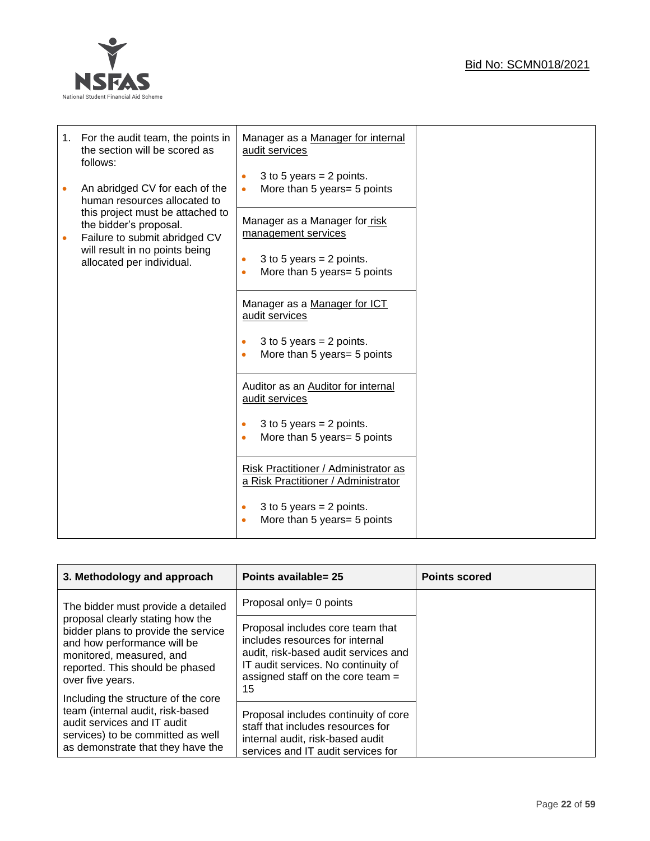

| 1. | For the audit team, the points in<br>the section will be scored as<br>follows:              | Manager as a Manager for internal<br>audit services                                 |  |
|----|---------------------------------------------------------------------------------------------|-------------------------------------------------------------------------------------|--|
|    | An abridged CV for each of the<br>human resources allocated to                              | 3 to 5 years = $2$ points.<br>$\bullet$<br>More than 5 years= 5 points<br>$\bullet$ |  |
|    | this project must be attached to<br>the bidder's proposal.<br>Failure to submit abridged CV | Manager as a Manager for risk<br>management services                                |  |
|    | will result in no points being<br>allocated per individual.                                 | 3 to 5 years = $2$ points.<br>۰<br>More than 5 years= 5 points<br>٠                 |  |
|    |                                                                                             | Manager as a Manager for ICT<br>audit services                                      |  |
|    |                                                                                             | 3 to 5 years = $2$ points.<br>$\bullet$<br>More than 5 years= 5 points<br>$\bullet$ |  |
|    |                                                                                             | Auditor as an Auditor for internal<br>audit services                                |  |
|    |                                                                                             | 3 to 5 years = $2$ points.<br>$\bullet$<br>More than 5 years= 5 points<br>۰         |  |
|    |                                                                                             | Risk Practitioner / Administrator as<br>a Risk Practitioner / Administrator         |  |
|    |                                                                                             | 3 to 5 years = $2$ points.<br>$\bullet$<br>More than 5 years= 5 points<br>۰         |  |

| 3. Methodology and approach                                                                                                                                                                                                      | Points available= 25                                                                                                                                                                            | <b>Points scored</b> |
|----------------------------------------------------------------------------------------------------------------------------------------------------------------------------------------------------------------------------------|-------------------------------------------------------------------------------------------------------------------------------------------------------------------------------------------------|----------------------|
| The bidder must provide a detailed                                                                                                                                                                                               | Proposal only= 0 points                                                                                                                                                                         |                      |
| proposal clearly stating how the<br>bidder plans to provide the service<br>and how performance will be<br>monitored, measured, and<br>reported. This should be phased<br>over five years.<br>Including the structure of the core | Proposal includes core team that<br>includes resources for internal<br>audit, risk-based audit services and<br>IT audit services. No continuity of<br>assigned staff on the core team $=$<br>15 |                      |
| team (internal audit, risk-based<br>audit services and IT audit<br>services) to be committed as well<br>as demonstrate that they have the                                                                                        | Proposal includes continuity of core<br>staff that includes resources for<br>internal audit, risk-based audit<br>services and IT audit services for                                             |                      |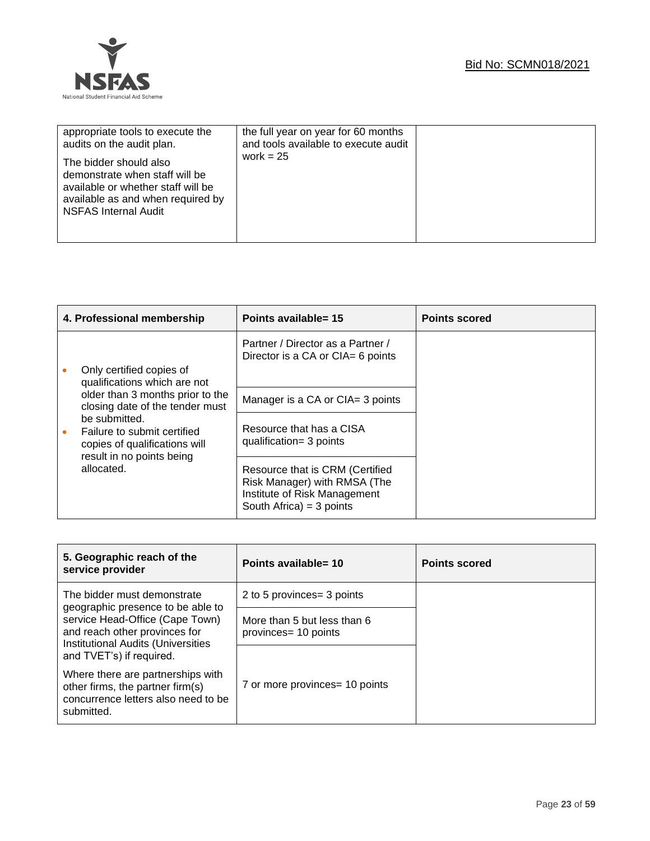

| appropriate tools to execute the                                                                                                                                   | the full year on year for 60 months  |  |
|--------------------------------------------------------------------------------------------------------------------------------------------------------------------|--------------------------------------|--|
| audits on the audit plan.                                                                                                                                          | and tools available to execute audit |  |
| The bidder should also<br>demonstrate when staff will be<br>available or whether staff will be<br>available as and when required by<br><b>NSFAS Internal Audit</b> | work = $25$                          |  |

|  | 4. Professional membership                                                                                                                                                             | Points available= 15                                                                                                          | <b>Points scored</b> |
|--|----------------------------------------------------------------------------------------------------------------------------------------------------------------------------------------|-------------------------------------------------------------------------------------------------------------------------------|----------------------|
|  | Only certified copies of<br>qualifications which are not                                                                                                                               | Partner / Director as a Partner /<br>Director is a CA or CIA= 6 points                                                        |                      |
|  | older than 3 months prior to the<br>closing date of the tender must<br>be submitted.<br>Failure to submit certified<br>۰<br>copies of qualifications will<br>result in no points being | Manager is a CA or CIA= 3 points                                                                                              |                      |
|  |                                                                                                                                                                                        | Resource that has a CISA<br>qualification= 3 points                                                                           |                      |
|  | allocated.                                                                                                                                                                             | Resource that is CRM (Certified<br>Risk Manager) with RMSA (The<br>Institute of Risk Management<br>South Africa) = $3$ points |                      |

| 5. Geographic reach of the<br>service provider                                                                                                                                                                | Points available= 10                                | <b>Points scored</b> |
|---------------------------------------------------------------------------------------------------------------------------------------------------------------------------------------------------------------|-----------------------------------------------------|----------------------|
| The bidder must demonstrate<br>geographic presence to be able to<br>service Head-Office (Cape Town)<br>and reach other provinces for<br><b>Institutional Audits (Universities</b><br>and TVET's) if required. | 2 to 5 provinces = 3 points                         |                      |
|                                                                                                                                                                                                               | More than 5 but less than 6<br>provinces= 10 points |                      |
|                                                                                                                                                                                                               |                                                     |                      |
| Where there are partnerships with<br>other firms, the partner firm(s)<br>concurrence letters also need to be<br>submitted.                                                                                    | 7 or more provinces= 10 points                      |                      |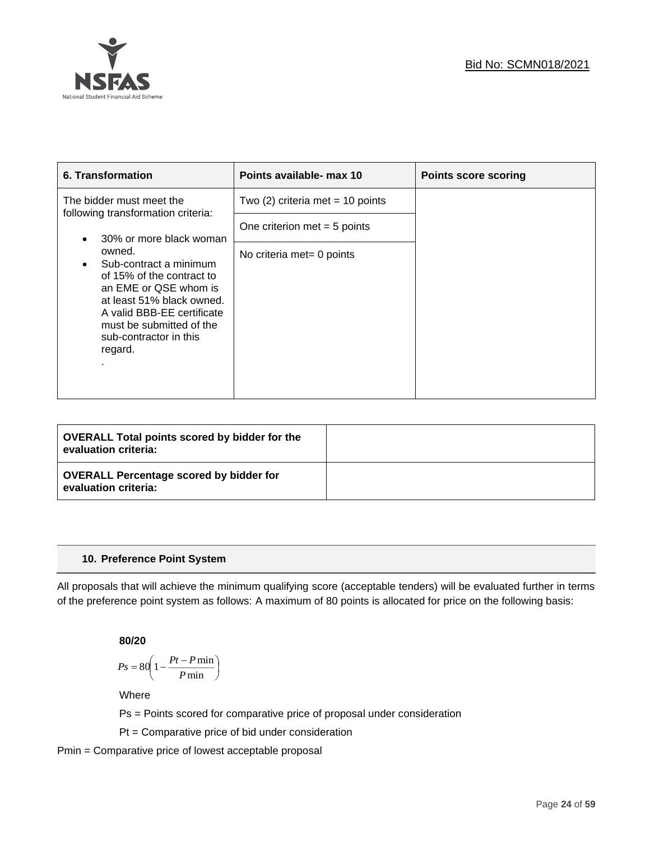

| 6. Transformation                                                                                                                                                                                                  | Points available- max 10           | <b>Points score scoring</b> |
|--------------------------------------------------------------------------------------------------------------------------------------------------------------------------------------------------------------------|------------------------------------|-----------------------------|
| The bidder must meet the<br>following transformation criteria:                                                                                                                                                     | Two $(2)$ criteria met = 10 points |                             |
| 30% or more black woman                                                                                                                                                                                            | One criterion met $=$ 5 points     |                             |
| owned.<br>Sub-contract a minimum<br>of 15% of the contract to<br>an EME or QSE whom is<br>at least 51% black owned.<br>A valid BBB-EE certificate<br>must be submitted of the<br>sub-contractor in this<br>regard. | No criteria met= 0 points          |                             |

| <b>OVERALL Total points scored by bidder for the</b><br>evaluation criteria: |  |
|------------------------------------------------------------------------------|--|
| <b>OVERALL Percentage scored by bidder for</b><br>evaluation criteria:       |  |

# **10. Preference Point System**

All proposals that will achieve the minimum qualifying score (acceptable tenders) will be evaluated further in terms of the preference point system as follows: A maximum of 80 points is allocated for price on the following basis:

**80/20**

$$
Ps = 80 \left( 1 - \frac{Pt - P \min}{P \min} \right)
$$

Where

Ps = Points scored for comparative price of proposal under consideration

Pt = Comparative price of bid under consideration

Pmin = Comparative price of lowest acceptable proposal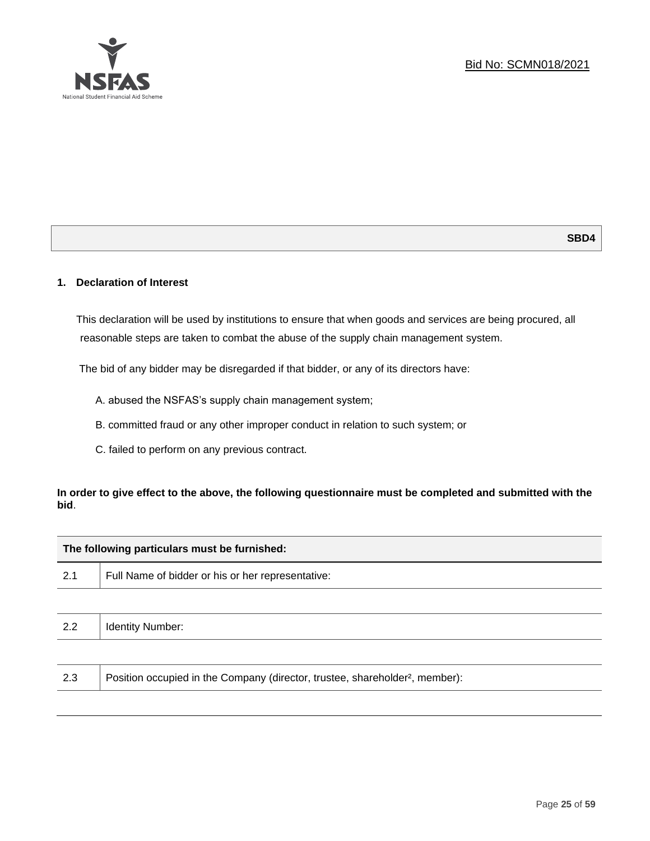

# **1. Declaration of Interest**

This declaration will be used by institutions to ensure that when goods and services are being procured, all reasonable steps are taken to combat the abuse of the supply chain management system.

The bid of any bidder may be disregarded if that bidder, or any of its directors have:

- A. abused the NSFAS's supply chain management system;
- B. committed fraud or any other improper conduct in relation to such system; or
- C. failed to perform on any previous contract.

# **In order to give effect to the above, the following questionnaire must be completed and submitted with the bid**.

| The following particulars must be furnished: |                                                   |  |  |
|----------------------------------------------|---------------------------------------------------|--|--|
| 2.1                                          | Full Name of bidder or his or her representative: |  |  |
|                                              |                                                   |  |  |
| 2.2                                          | <b>Identity Number:</b>                           |  |  |
|                                              |                                                   |  |  |

|  | 2.3 | Position occupied in the Company (director, trustee, shareholder <sup>2</sup> , member): |
|--|-----|------------------------------------------------------------------------------------------|
|--|-----|------------------------------------------------------------------------------------------|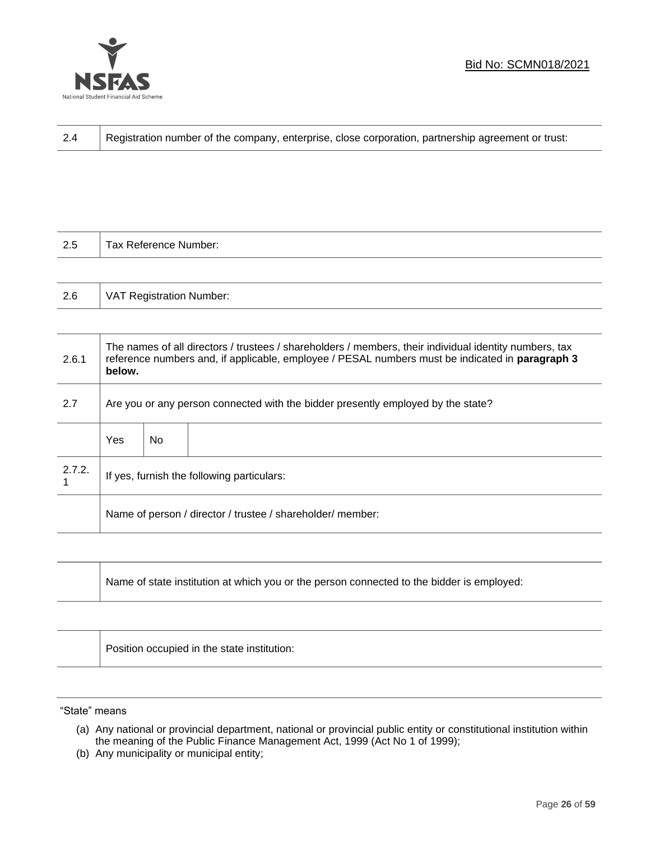

┱

| 2.4 | Registration number of the company, enterprise, close corporation, partnership agreement or trust: |
|-----|----------------------------------------------------------------------------------------------------|
|-----|----------------------------------------------------------------------------------------------------|

| 2.5 | Tax Reference Number:           |
|-----|---------------------------------|
|     |                                 |
| 2.6 | <b>VAT Registration Number:</b> |

| 2.6.1  | The names of all directors / trustees / shareholders / members, their individual identity numbers, tax<br>reference numbers and, if applicable, employee / PESAL numbers must be indicated in paragraph 3<br>below. |     |  |
|--------|---------------------------------------------------------------------------------------------------------------------------------------------------------------------------------------------------------------------|-----|--|
| 2.7    | Are you or any person connected with the bidder presently employed by the state?                                                                                                                                    |     |  |
|        | Yes                                                                                                                                                                                                                 | No. |  |
| 2.7.2. | If yes, furnish the following particulars:                                                                                                                                                                          |     |  |
|        | Name of person / director / trustee / shareholder/ member:                                                                                                                                                          |     |  |

| Name of state institution at which you or the person connected to the bidder is employed: |
|-------------------------------------------------------------------------------------------|
|                                                                                           |

Position occupied in the state institution:

"State" means

ℸ

(b) Any municipality or municipal entity;

<sup>(</sup>a) Any national or provincial department, national or provincial public entity or constitutional institution within the meaning of the Public Finance Management Act, 1999 (Act No 1 of 1999);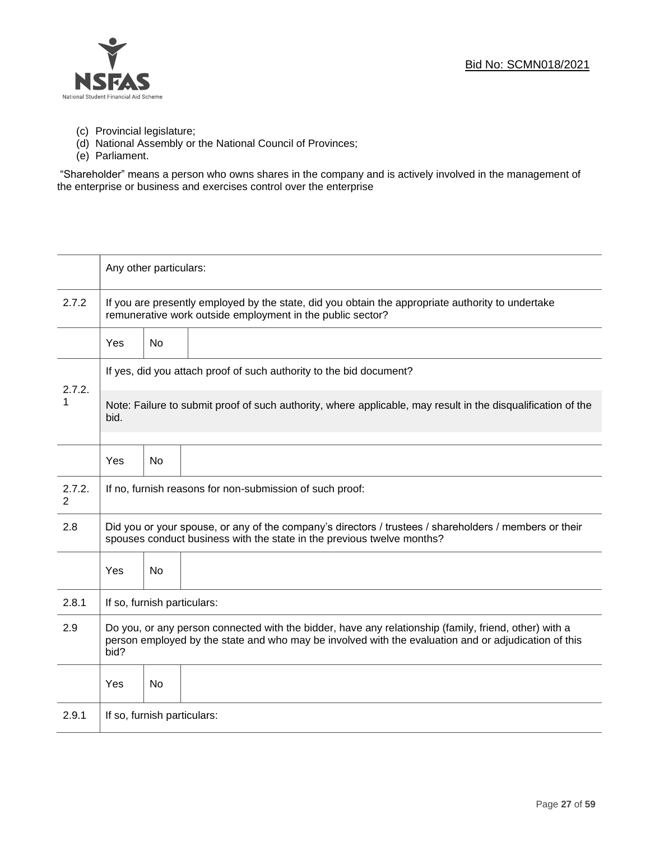

- (c) Provincial legislature;
- (d) National Assembly or the National Council of Provinces;
- (e) Parliament.

"Shareholder" means a person who owns shares in the company and is actively involved in the management of the enterprise or business and exercises control over the enterprise

|             | Any other particulars:                                                                                                                                                                                                |           |  |  |
|-------------|-----------------------------------------------------------------------------------------------------------------------------------------------------------------------------------------------------------------------|-----------|--|--|
| 2.7.2       | If you are presently employed by the state, did you obtain the appropriate authority to undertake<br>remunerative work outside employment in the public sector?                                                       |           |  |  |
|             | Yes                                                                                                                                                                                                                   | <b>No</b> |  |  |
| 2.7.2.      | If yes, did you attach proof of such authority to the bid document?                                                                                                                                                   |           |  |  |
| 1           | Note: Failure to submit proof of such authority, where applicable, may result in the disqualification of the<br>bid.                                                                                                  |           |  |  |
|             | Yes                                                                                                                                                                                                                   | <b>No</b> |  |  |
| 2.7.2.<br>2 | If no, furnish reasons for non-submission of such proof:                                                                                                                                                              |           |  |  |
| 2.8         | Did you or your spouse, or any of the company's directors / trustees / shareholders / members or their<br>spouses conduct business with the state in the previous twelve months?                                      |           |  |  |
|             | Yes                                                                                                                                                                                                                   | <b>No</b> |  |  |
| 2.8.1       | If so, furnish particulars:                                                                                                                                                                                           |           |  |  |
| 2.9         | Do you, or any person connected with the bidder, have any relationship (family, friend, other) with a<br>person employed by the state and who may be involved with the evaluation and or adjudication of this<br>bid? |           |  |  |
|             | Yes                                                                                                                                                                                                                   | No        |  |  |
| 2.9.1       | If so, furnish particulars:                                                                                                                                                                                           |           |  |  |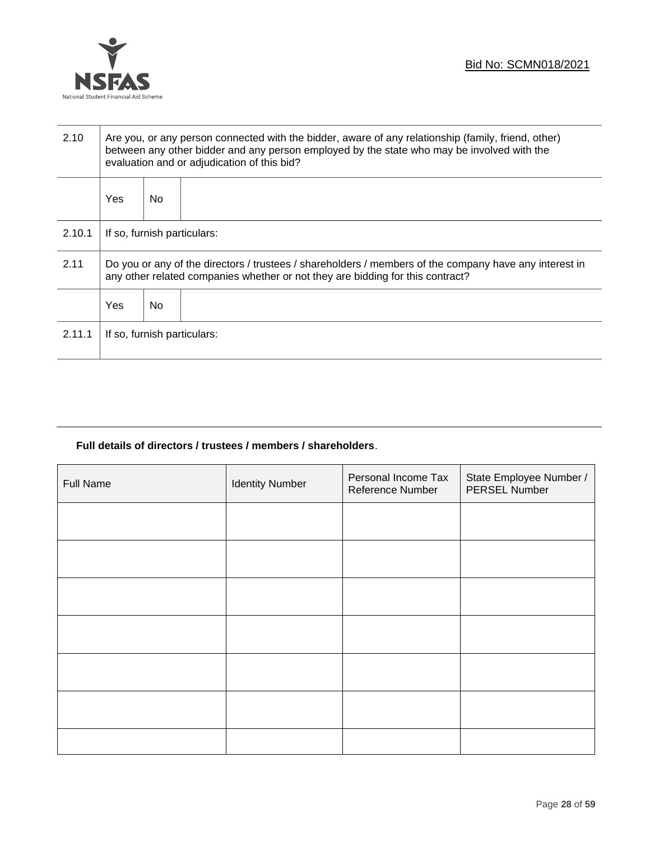

| 2.10   | Are you, or any person connected with the bidder, aware of any relationship (family, friend, other)<br>between any other bidder and any person employed by the state who may be involved with the<br>evaluation and or adjudication of this bid? |     |  |  |
|--------|--------------------------------------------------------------------------------------------------------------------------------------------------------------------------------------------------------------------------------------------------|-----|--|--|
|        | Yes                                                                                                                                                                                                                                              | No. |  |  |
| 2.10.1 | If so, furnish particulars:                                                                                                                                                                                                                      |     |  |  |
| 2.11   | Do you or any of the directors / trustees / shareholders / members of the company have any interest in<br>any other related companies whether or not they are bidding for this contract?                                                         |     |  |  |
|        | Yes                                                                                                                                                                                                                                              | No. |  |  |
| 2.11.1 | If so, furnish particulars:                                                                                                                                                                                                                      |     |  |  |

# **Full details of directors / trustees / members / shareholders**.

| Full Name | <b>Identity Number</b> | Personal Income Tax<br>Reference Number | State Employee Number /<br>PERSEL Number |
|-----------|------------------------|-----------------------------------------|------------------------------------------|
|           |                        |                                         |                                          |
|           |                        |                                         |                                          |
|           |                        |                                         |                                          |
|           |                        |                                         |                                          |
|           |                        |                                         |                                          |
|           |                        |                                         |                                          |
|           |                        |                                         |                                          |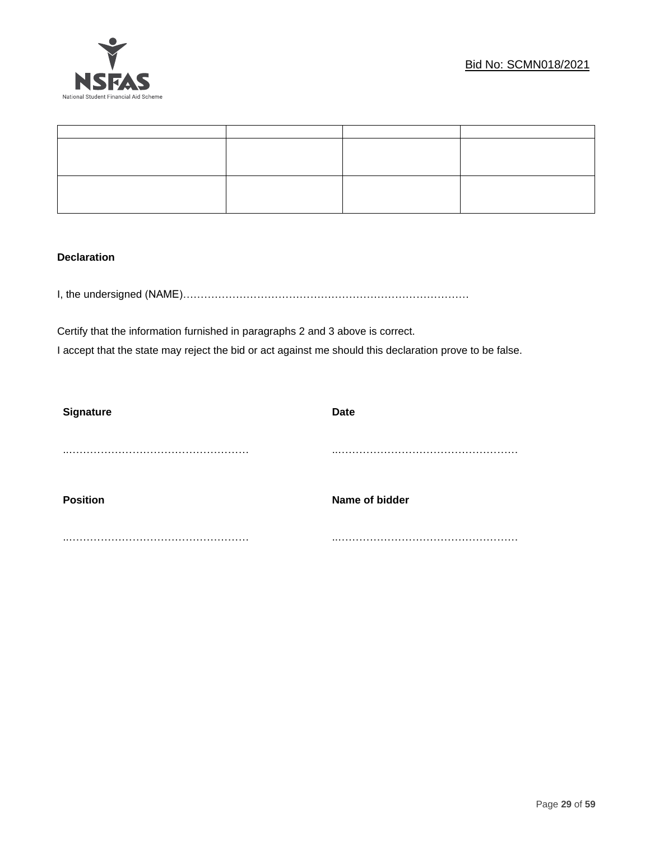

# **Declaration**

I, the undersigned (NAME)………………………………………………………………………

Certify that the information furnished in paragraphs 2 and 3 above is correct. I accept that the state may reject the bid or act against me should this declaration prove to be false.

| <b>Date</b>    |
|----------------|
|                |
|                |
|                |
|                |
| Name of bidder |
|                |
|                |
|                |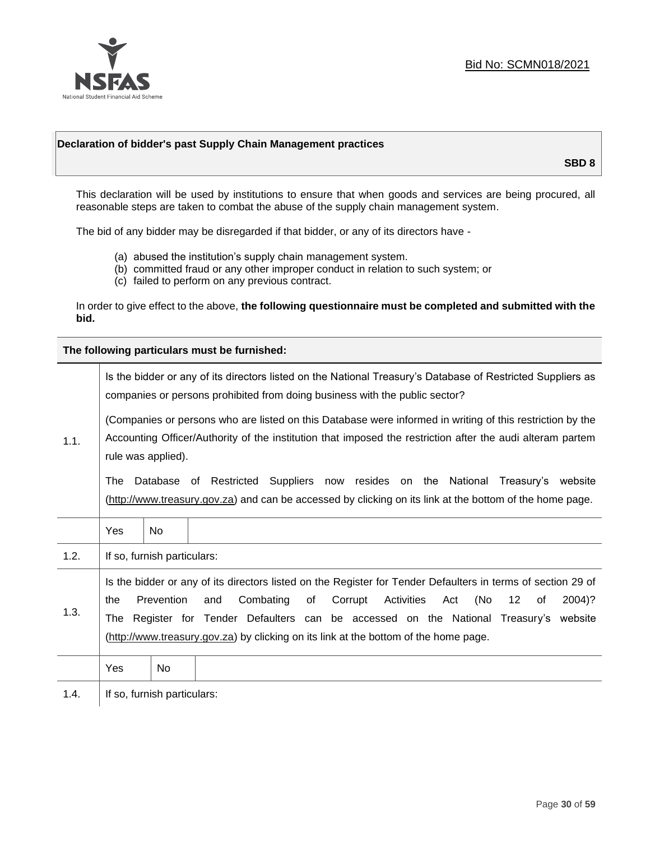

# **Declaration of bidder's past Supply Chain Management practices**

**SBD 8**

This declaration will be used by institutions to ensure that when goods and services are being procured, all reasonable steps are taken to combat the abuse of the supply chain management system.

The bid of any bidder may be disregarded if that bidder, or any of its directors have -

- (a) abused the institution's supply chain management system.
- (b) committed fraud or any other improper conduct in relation to such system; or
- (c) failed to perform on any previous contract.

In order to give effect to the above, **the following questionnaire must be completed and submitted with the bid.**

**The following particulars must be furnished:**

| 1.1. |                                                                                                                                                                                                                                                                                                                                                                                                                |           | Is the bidder or any of its directors listed on the National Treasury's Database of Restricted Suppliers as<br>companies or persons prohibited from doing business with the public sector?<br>(Companies or persons who are listed on this Database were informed in writing of this restriction by the<br>Accounting Officer/Authority of the institution that imposed the restriction after the audi alteram partem |
|------|----------------------------------------------------------------------------------------------------------------------------------------------------------------------------------------------------------------------------------------------------------------------------------------------------------------------------------------------------------------------------------------------------------------|-----------|-----------------------------------------------------------------------------------------------------------------------------------------------------------------------------------------------------------------------------------------------------------------------------------------------------------------------------------------------------------------------------------------------------------------------|
|      | rule was applied).<br>The                                                                                                                                                                                                                                                                                                                                                                                      |           | Database of Restricted Suppliers now resides on the National Treasury's website<br>(http://www.treasury.gov.za) and can be accessed by clicking on its link at the bottom of the home page.                                                                                                                                                                                                                           |
|      | Yes                                                                                                                                                                                                                                                                                                                                                                                                            | No.       |                                                                                                                                                                                                                                                                                                                                                                                                                       |
| 1.2. | If so, furnish particulars:                                                                                                                                                                                                                                                                                                                                                                                    |           |                                                                                                                                                                                                                                                                                                                                                                                                                       |
| 1.3. | Is the bidder or any of its directors listed on the Register for Tender Defaulters in terms of section 29 of<br>Prevention<br>Combating<br>of<br>Corrupt<br>Activities<br>(No<br>$12 \,$<br>2004)?<br>the<br>and<br>Act<br>0f<br>The Register for Tender Defaulters can be accessed on the National Treasury's website<br>(http://www.treasury.gov.za) by clicking on its link at the bottom of the home page. |           |                                                                                                                                                                                                                                                                                                                                                                                                                       |
|      | Yes                                                                                                                                                                                                                                                                                                                                                                                                            | <b>No</b> |                                                                                                                                                                                                                                                                                                                                                                                                                       |
| 1.4. | If so, furnish particulars:                                                                                                                                                                                                                                                                                                                                                                                    |           |                                                                                                                                                                                                                                                                                                                                                                                                                       |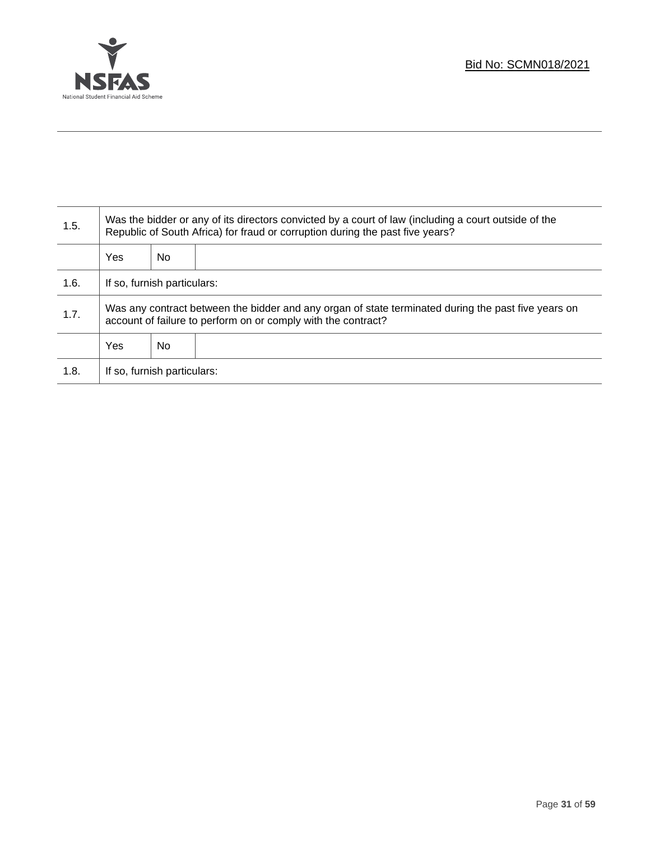

T

| 1.5. | Was the bidder or any of its directors convicted by a court of law (including a court outside of the<br>Republic of South Africa) for fraud or corruption during the past five years? |    |  |
|------|---------------------------------------------------------------------------------------------------------------------------------------------------------------------------------------|----|--|
|      | <b>Yes</b>                                                                                                                                                                            | No |  |
| 1.6. | If so, furnish particulars:                                                                                                                                                           |    |  |
| 1.7. | Was any contract between the bidder and any organ of state terminated during the past five years on<br>account of failure to perform on or comply with the contract?                  |    |  |
|      | <b>Yes</b>                                                                                                                                                                            | No |  |
| 1.8. | If so, furnish particulars:                                                                                                                                                           |    |  |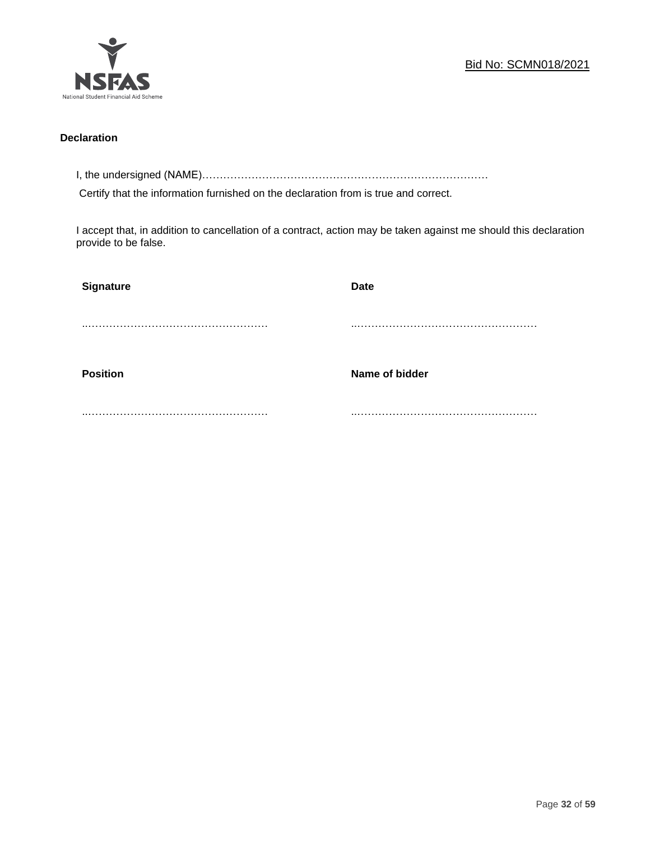

# **Declaration**

I, the undersigned (NAME)………………………………………………………………………

Certify that the information furnished on the declaration from is true and correct.

I accept that, in addition to cancellation of a contract, action may be taken against me should this declaration provide to be false.

| Signature       | <b>Date</b>    |
|-----------------|----------------|
|                 |                |
|                 |                |
| <b>Position</b> | Name of bidder |
|                 |                |
|                 |                |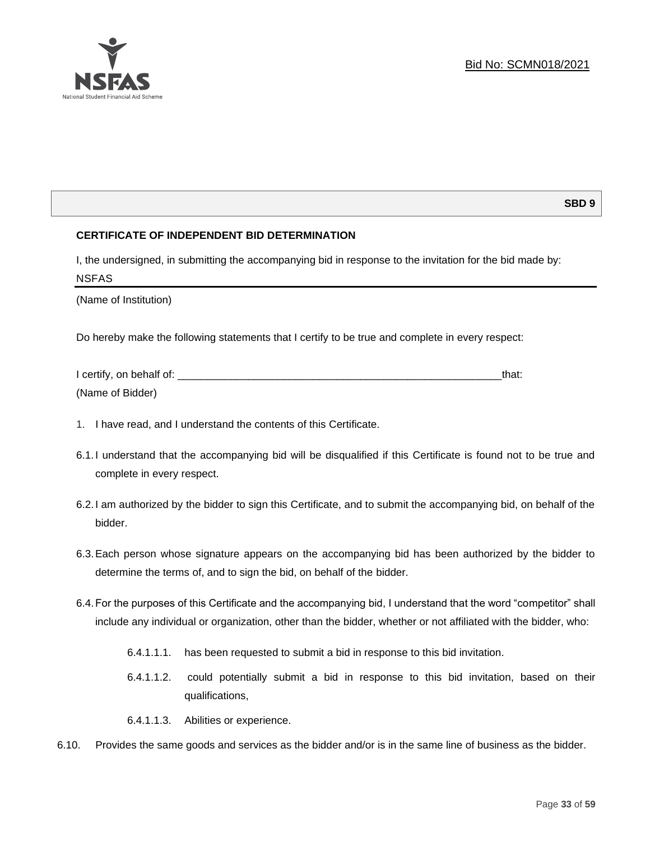

# **SBD 9**

# **CERTIFICATE OF INDEPENDENT BID DETERMINATION**

I, the undersigned, in submitting the accompanying bid in response to the invitation for the bid made by: NSFAS

(Name of Institution)

Do hereby make the following statements that I certify to be true and complete in every respect:

| I certify, on behalf of: |  |
|--------------------------|--|
| (Name of Bidder)         |  |

- 1. I have read, and I understand the contents of this Certificate.
- 6.1.I understand that the accompanying bid will be disqualified if this Certificate is found not to be true and complete in every respect.
- 6.2.I am authorized by the bidder to sign this Certificate, and to submit the accompanying bid, on behalf of the bidder.
- 6.3.Each person whose signature appears on the accompanying bid has been authorized by the bidder to determine the terms of, and to sign the bid, on behalf of the bidder.
- 6.4.For the purposes of this Certificate and the accompanying bid, I understand that the word "competitor" shall include any individual or organization, other than the bidder, whether or not affiliated with the bidder, who:
	- 6.4.1.1.1. has been requested to submit a bid in response to this bid invitation.
	- 6.4.1.1.2. could potentially submit a bid in response to this bid invitation, based on their qualifications,
	- 6.4.1.1.3. Abilities or experience.
- 6.10. Provides the same goods and services as the bidder and/or is in the same line of business as the bidder.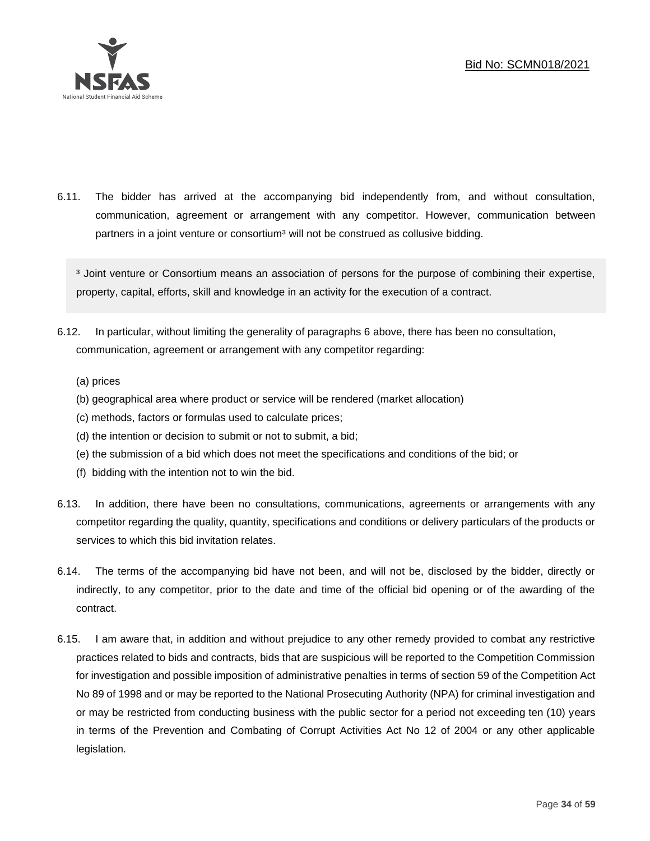

6.11. The bidder has arrived at the accompanying bid independently from, and without consultation, communication, agreement or arrangement with any competitor. However, communication between partners in a joint venture or consortium<sup>3</sup> will not be construed as collusive bidding.

<sup>3</sup> Joint venture or Consortium means an association of persons for the purpose of combining their expertise, property, capital, efforts, skill and knowledge in an activity for the execution of a contract.

- 6.12. In particular, without limiting the generality of paragraphs 6 above, there has been no consultation, communication, agreement or arrangement with any competitor regarding:
	- (a) prices
	- (b) geographical area where product or service will be rendered (market allocation)
	- (c) methods, factors or formulas used to calculate prices;
	- (d) the intention or decision to submit or not to submit, a bid;
	- (e) the submission of a bid which does not meet the specifications and conditions of the bid; or
	- (f) bidding with the intention not to win the bid.
- 6.13. In addition, there have been no consultations, communications, agreements or arrangements with any competitor regarding the quality, quantity, specifications and conditions or delivery particulars of the products or services to which this bid invitation relates.
- 6.14. The terms of the accompanying bid have not been, and will not be, disclosed by the bidder, directly or indirectly, to any competitor, prior to the date and time of the official bid opening or of the awarding of the contract.
- 6.15. I am aware that, in addition and without prejudice to any other remedy provided to combat any restrictive practices related to bids and contracts, bids that are suspicious will be reported to the Competition Commission for investigation and possible imposition of administrative penalties in terms of section 59 of the Competition Act No 89 of 1998 and or may be reported to the National Prosecuting Authority (NPA) for criminal investigation and or may be restricted from conducting business with the public sector for a period not exceeding ten (10) years in terms of the Prevention and Combating of Corrupt Activities Act No 12 of 2004 or any other applicable legislation.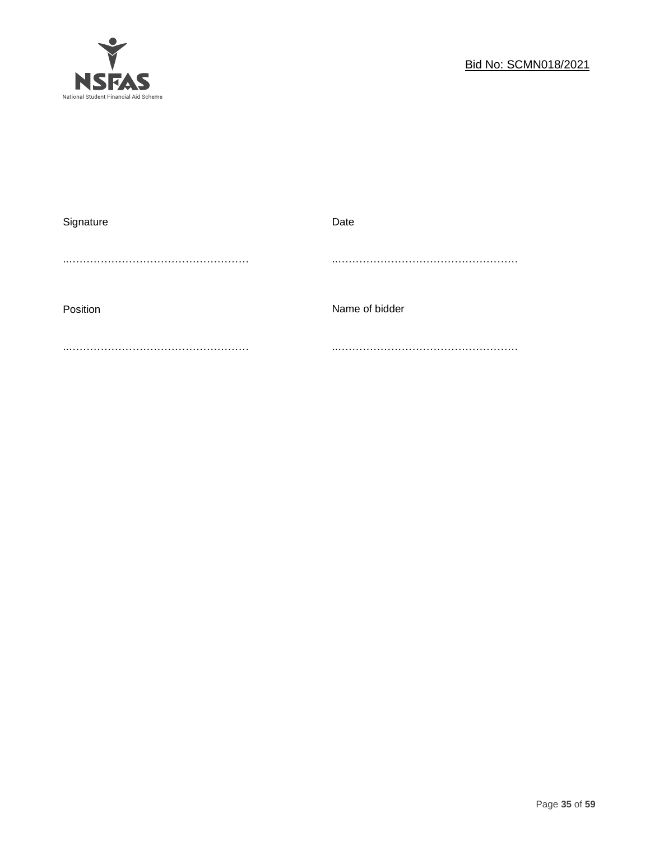

| Signature | Date           |
|-----------|----------------|
|           |                |
|           |                |
|           |                |
| Position  | Name of bidder |
|           |                |
|           |                |
|           |                |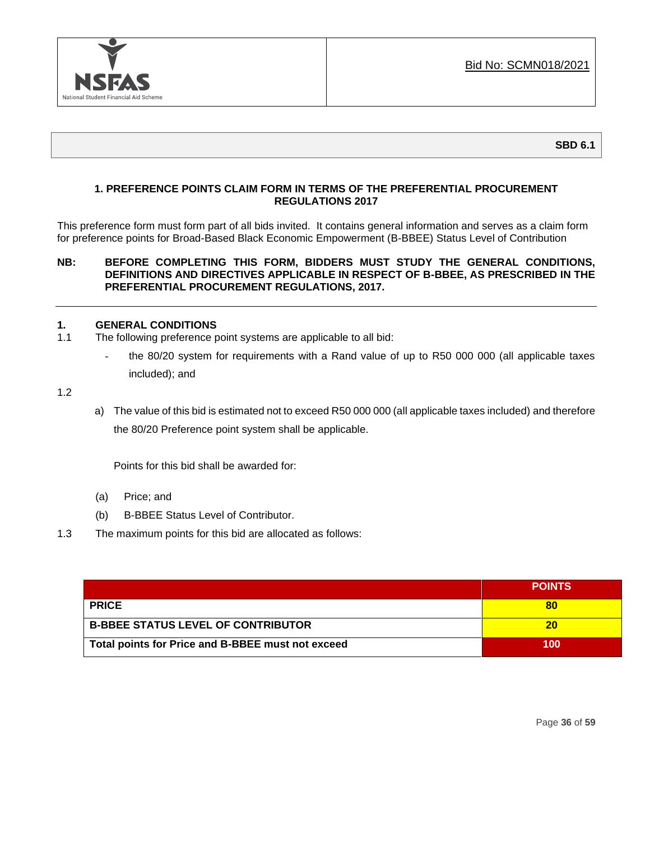

**SBD 6.1**

# **1. PREFERENCE POINTS CLAIM FORM IN TERMS OF THE PREFERENTIAL PROCUREMENT REGULATIONS 2017**

This preference form must form part of all bids invited. It contains general information and serves as a claim form for preference points for Broad-Based Black Economic Empowerment (B-BBEE) Status Level of Contribution

# **NB: BEFORE COMPLETING THIS FORM, BIDDERS MUST STUDY THE GENERAL CONDITIONS, DEFINITIONS AND DIRECTIVES APPLICABLE IN RESPECT OF B-BBEE, AS PRESCRIBED IN THE PREFERENTIAL PROCUREMENT REGULATIONS, 2017.**

# **1. GENERAL CONDITIONS**

- 1.1 The following preference point systems are applicable to all bid:
	- the 80/20 system for requirements with a Rand value of up to R50 000 000 (all applicable taxes included); and

1.2

a) The value of this bid is estimated not to exceed R50 000 000 (all applicable taxes included) and therefore the 80/20 Preference point system shall be applicable.

Points for this bid shall be awarded for:

- (a) Price; and
- (b) B-BBEE Status Level of Contributor.
- 1.3 The maximum points for this bid are allocated as follows:

|                                                   | <b>POINTS</b> |
|---------------------------------------------------|---------------|
| <b>PRICE</b>                                      |               |
| <b>B-BBEE STATUS LEVEL OF CONTRIBUTOR</b>         | 20            |
| Total points for Price and B-BBEE must not exceed | 100           |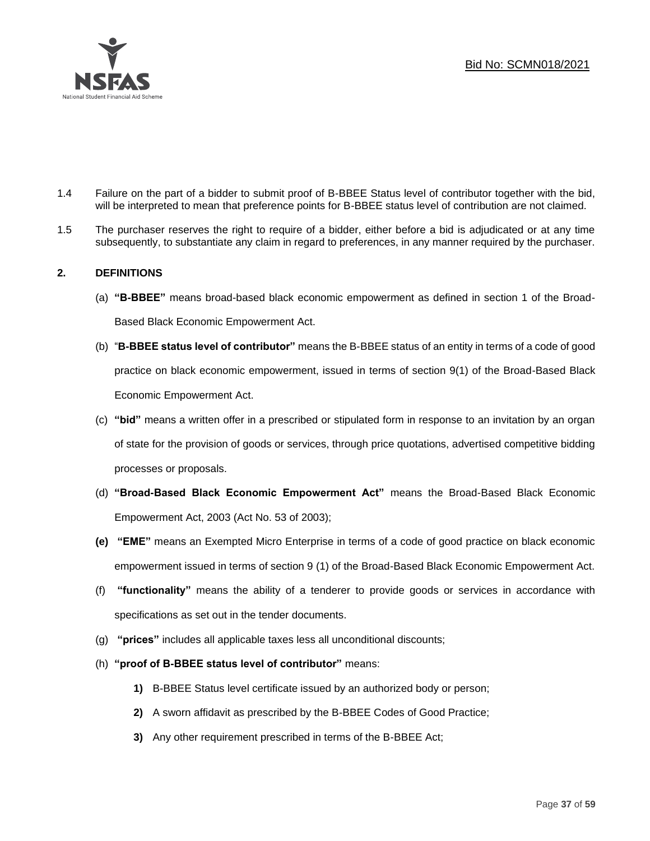

- 1.4 Failure on the part of a bidder to submit proof of B-BBEE Status level of contributor together with the bid, will be interpreted to mean that preference points for B-BBEE status level of contribution are not claimed.
- 1.5 The purchaser reserves the right to require of a bidder, either before a bid is adjudicated or at any time subsequently, to substantiate any claim in regard to preferences, in any manner required by the purchaser.

# **2. DEFINITIONS**

- (a) **"B-BBEE"** means broad-based black economic empowerment as defined in section 1 of the Broad-Based Black Economic Empowerment Act.
- (b) "**B-BBEE status level of contributor"** means the B-BBEE status of an entity in terms of a code of good practice on black economic empowerment, issued in terms of section 9(1) of the Broad-Based Black Economic Empowerment Act.
- (c) **"bid"** means a written offer in a prescribed or stipulated form in response to an invitation by an organ of state for the provision of goods or services, through price quotations, advertised competitive bidding processes or proposals.
- (d) **"Broad-Based Black Economic Empowerment Act"** means the Broad-Based Black Economic Empowerment Act, 2003 (Act No. 53 of 2003);
- **(e) "EME"** means an Exempted Micro Enterprise in terms of a code of good practice on black economic empowerment issued in terms of section 9 (1) of the Broad-Based Black Economic Empowerment Act.
- (f) **"functionality"** means the ability of a tenderer to provide goods or services in accordance with specifications as set out in the tender documents.
- (g) **"prices"** includes all applicable taxes less all unconditional discounts;
- (h) **"proof of B-BBEE status level of contributor"** means:
	- **1)** B-BBEE Status level certificate issued by an authorized body or person;
	- **2)** A sworn affidavit as prescribed by the B-BBEE Codes of Good Practice;
	- **3)** Any other requirement prescribed in terms of the B-BBEE Act;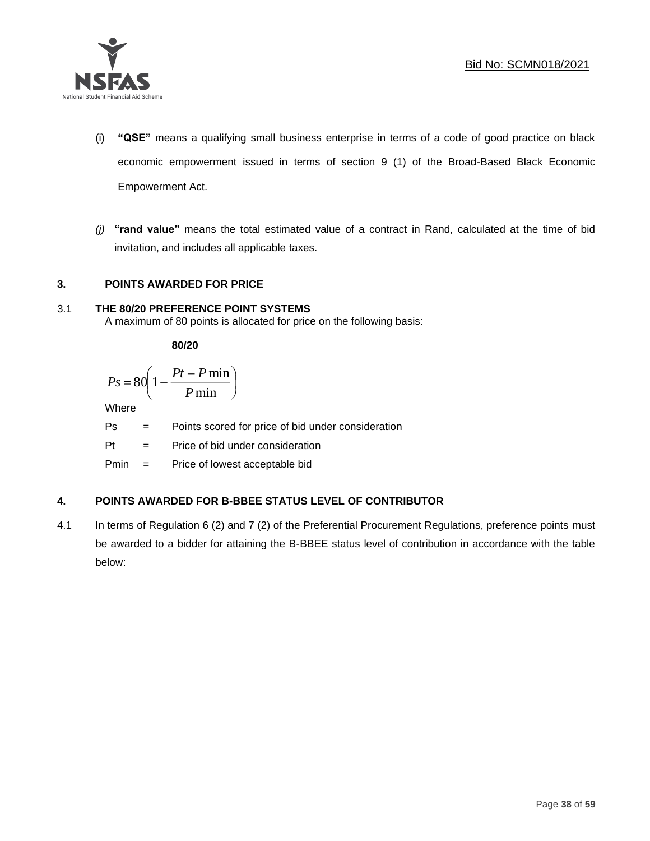

- (i) **"QSE"** means a qualifying small business enterprise in terms of a code of good practice on black economic empowerment issued in terms of section 9 (1) of the Broad-Based Black Economic Empowerment Act.
- *(j)* **"rand value"** means the total estimated value of a contract in Rand, calculated at the time of bid invitation, and includes all applicable taxes.

# **3. POINTS AWARDED FOR PRICE**

# 3.1 **THE 80/20 PREFERENCE POINT SYSTEMS**

A maximum of 80 points is allocated for price on the following basis:

**80/20**

$$
Ps = 80 \left( 1 - \frac{Pt - P \min}{P \min} \right)
$$

Where

Ps = Points scored for price of bid under consideration

l

Pt = Price of bid under consideration

Pmin = Price of lowest acceptable bid

# **4. POINTS AWARDED FOR B-BBEE STATUS LEVEL OF CONTRIBUTOR**

4.1 In terms of Regulation 6 (2) and 7 (2) of the Preferential Procurement Regulations, preference points must be awarded to a bidder for attaining the B-BBEE status level of contribution in accordance with the table below: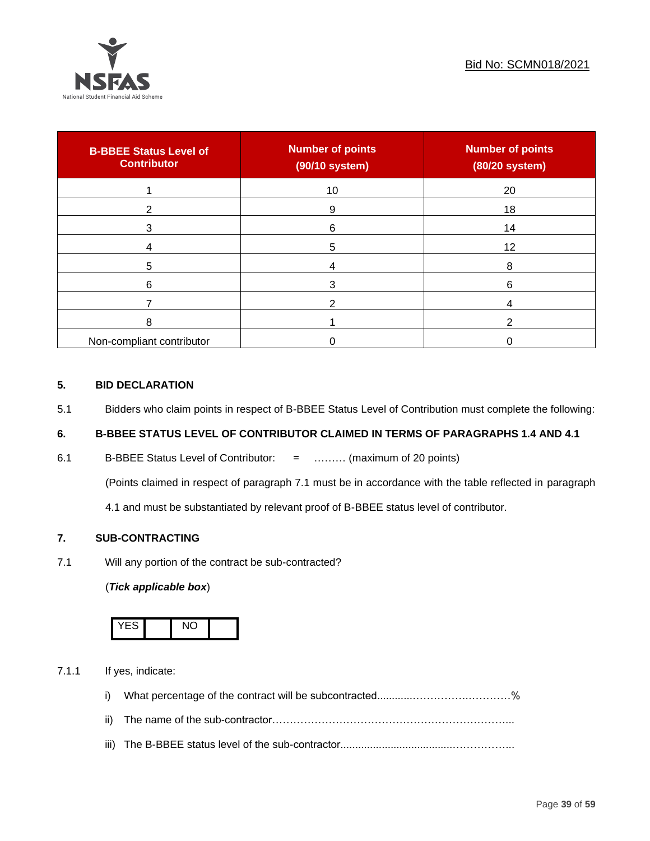

| <b>B-BBEE Status Level of</b><br><b>Contributor</b> | <b>Number of points</b><br>(90/10 system) | <b>Number of points</b><br>(80/20 system) |
|-----------------------------------------------------|-------------------------------------------|-------------------------------------------|
|                                                     | 10                                        | 20                                        |
| 2                                                   | 9                                         | 18                                        |
| 3                                                   | 6                                         | 14                                        |
|                                                     | 5                                         | 12                                        |
| 5                                                   |                                           | 8                                         |
| 6                                                   |                                           | 6                                         |
|                                                     |                                           |                                           |
| 8                                                   |                                           | ◠                                         |
| Non-compliant contributor                           |                                           |                                           |

# **5. BID DECLARATION**

5.1 Bidders who claim points in respect of B-BBEE Status Level of Contribution must complete the following:

# **6. B-BBEE STATUS LEVEL OF CONTRIBUTOR CLAIMED IN TERMS OF PARAGRAPHS 1.4 AND 4.1**

6.1 B-BBEE Status Level of Contributor: = ……… (maximum of 20 points)

(Points claimed in respect of paragraph 7.1 must be in accordance with the table reflected in paragraph

4.1 and must be substantiated by relevant proof of B-BBEE status level of contributor.

# **7. SUB-CONTRACTING**

7.1 Will any portion of the contract be sub-contracted?

#### (*Tick applicable box*)



7.1.1 If yes, indicate:

- i) What percentage of the contract will be subcontracted............…………….…………%
- ii) The name of the sub-contractor…………………………………………………………...
- iii) The B-BBEE status level of the sub-contractor......................................……………...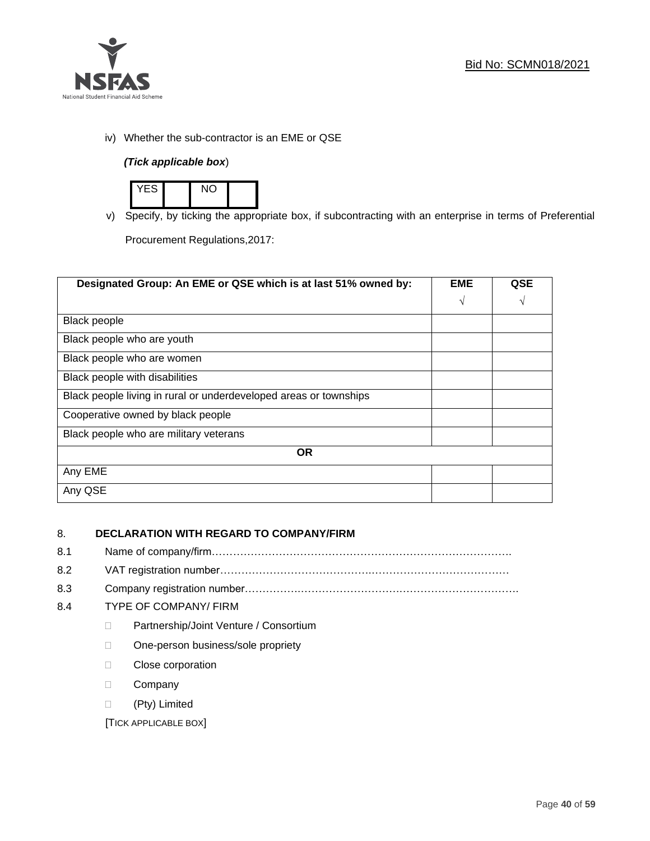

iv) Whether the sub-contractor is an EME or QSE

# *(Tick applicable box*)



v) Specify, by ticking the appropriate box, if subcontracting with an enterprise in terms of Preferential

Procurement Regulations,2017:

| Designated Group: An EME or QSE which is at last 51% owned by:    | <b>EME</b> | QSE |  |
|-------------------------------------------------------------------|------------|-----|--|
|                                                                   | $\sqrt{ }$ | V   |  |
| <b>Black people</b>                                               |            |     |  |
| Black people who are youth                                        |            |     |  |
| Black people who are women                                        |            |     |  |
| Black people with disabilities                                    |            |     |  |
| Black people living in rural or underdeveloped areas or townships |            |     |  |
| Cooperative owned by black people                                 |            |     |  |
| Black people who are military veterans                            |            |     |  |
| <b>OR</b>                                                         |            |     |  |
| Any EME                                                           |            |     |  |
| Any QSE                                                           |            |     |  |

# 8. **DECLARATION WITH REGARD TO COMPANY/FIRM**

- 8.1 Name of company/firm………………………………………………………………………….
- 8.2 VAT registration number…………………………………….…………………………………
- 8.3 Company registration number…………….……………………….…………………………….

# 8.4 TYPE OF COMPANY/ FIRM

- D Partnership/Joint Venture / Consortium
- □ One-person business/sole propriety
- **Close corporation**
- D Company
- (Pty) Limited

[TICK APPLICABLE BOX]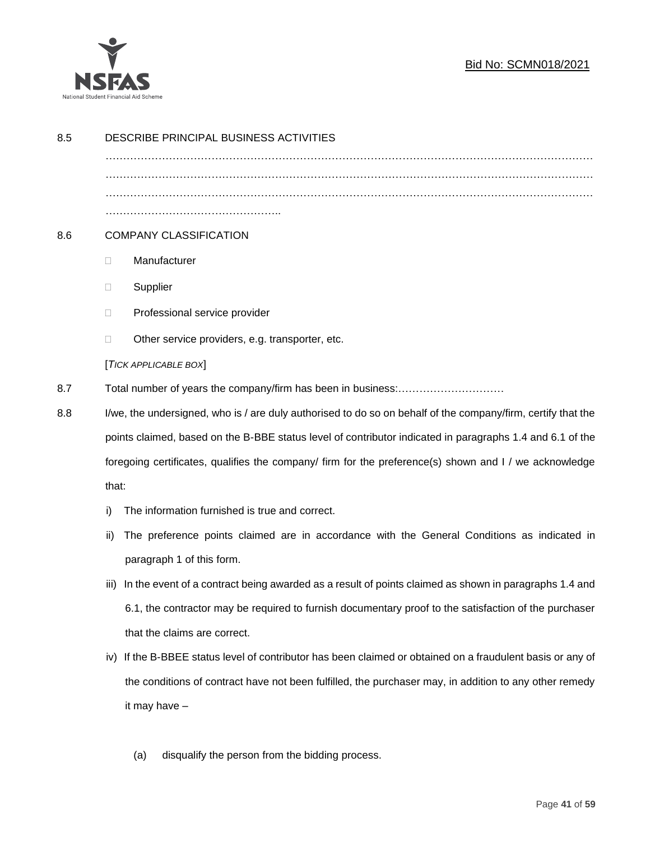

# Bid No: SCMN018/2021

| 8.5 | DESCRIBE PRINCIPAL BUSINESS ACTIVITIES                                                                       |                                                                                                           |  |  |
|-----|--------------------------------------------------------------------------------------------------------------|-----------------------------------------------------------------------------------------------------------|--|--|
|     |                                                                                                              |                                                                                                           |  |  |
|     |                                                                                                              |                                                                                                           |  |  |
|     |                                                                                                              |                                                                                                           |  |  |
| 8.6 | <b>COMPANY CLASSIFICATION</b>                                                                                |                                                                                                           |  |  |
|     | $\Box$                                                                                                       | Manufacturer                                                                                              |  |  |
|     | $\Box$                                                                                                       | Supplier                                                                                                  |  |  |
|     | $\Box$                                                                                                       | Professional service provider                                                                             |  |  |
|     | □                                                                                                            | Other service providers, e.g. transporter, etc.                                                           |  |  |
|     |                                                                                                              | [TICK APPLICABLE BOX]                                                                                     |  |  |
| 8.7 |                                                                                                              |                                                                                                           |  |  |
| 8.8 | I/we, the undersigned, who is / are duly authorised to do so on behalf of the company/firm, certify that the |                                                                                                           |  |  |
|     |                                                                                                              | points claimed, based on the B-BBE status level of contributor indicated in paragraphs 1.4 and 6.1 of the |  |  |
|     |                                                                                                              | foregoing certificates, qualifies the company/ firm for the preference(s) shown and I / we acknowledge    |  |  |
|     | that:                                                                                                        |                                                                                                           |  |  |
|     | i)                                                                                                           | The information furnished is true and correct.                                                            |  |  |
|     | ii)                                                                                                          | The preference points claimed are in accordance with the General Conditions as indicated in               |  |  |
|     |                                                                                                              | paragraph 1 of this form.                                                                                 |  |  |
|     | iii)                                                                                                         | In the event of a contract being awarded as a result of points claimed as shown in paragraphs 1.4 and     |  |  |
|     |                                                                                                              | 6.1, the contractor may be required to furnish documentary proof to the satisfaction of the purchaser     |  |  |
|     |                                                                                                              | that the claims are correct.                                                                              |  |  |
|     | iv)                                                                                                          | If the B-BBEE status level of contributor has been claimed or obtained on a fraudulent basis or any of    |  |  |
|     |                                                                                                              | the conditions of contract have not been fulfilled, the purchaser may, in addition to any other remedy    |  |  |
|     |                                                                                                              | it may have -                                                                                             |  |  |
|     |                                                                                                              |                                                                                                           |  |  |
|     |                                                                                                              | disqualify the person from the bidding process.<br>(a)                                                    |  |  |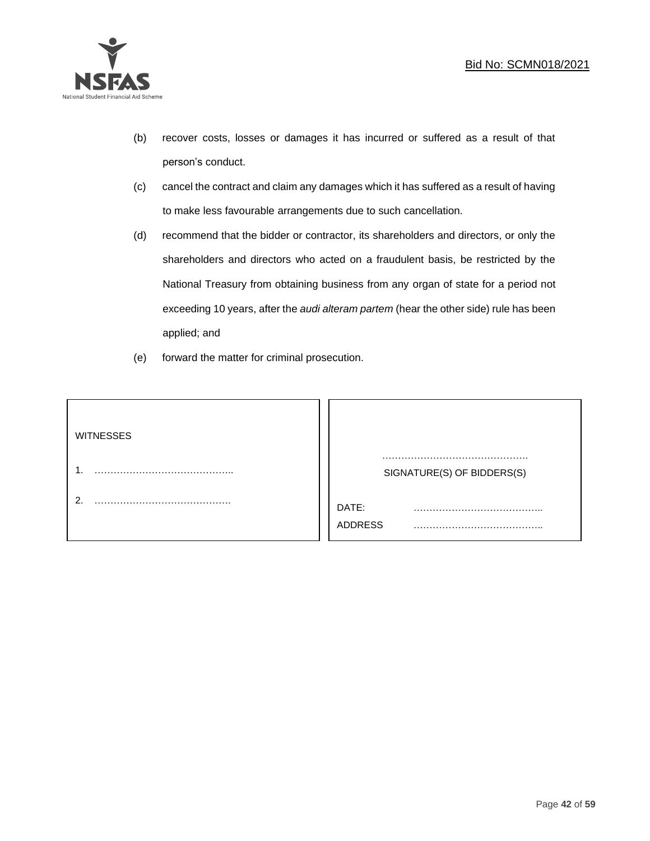

- (b) recover costs, losses or damages it has incurred or suffered as a result of that person's conduct.
- (c) cancel the contract and claim any damages which it has suffered as a result of having to make less favourable arrangements due to such cancellation.
- (d) recommend that the bidder or contractor, its shareholders and directors, or only the shareholders and directors who acted on a fraudulent basis, be restricted by the National Treasury from obtaining business from any organ of state for a period not exceeding 10 years, after the *audi alteram partem* (hear the other side) rule has been applied; and
- (e) forward the matter for criminal prosecution.

| <b>WITNESSES</b> |                            |
|------------------|----------------------------|
|                  | SIGNATURE(S) OF BIDDERS(S) |
|                  | DATE:<br>.<br>ADDRESS      |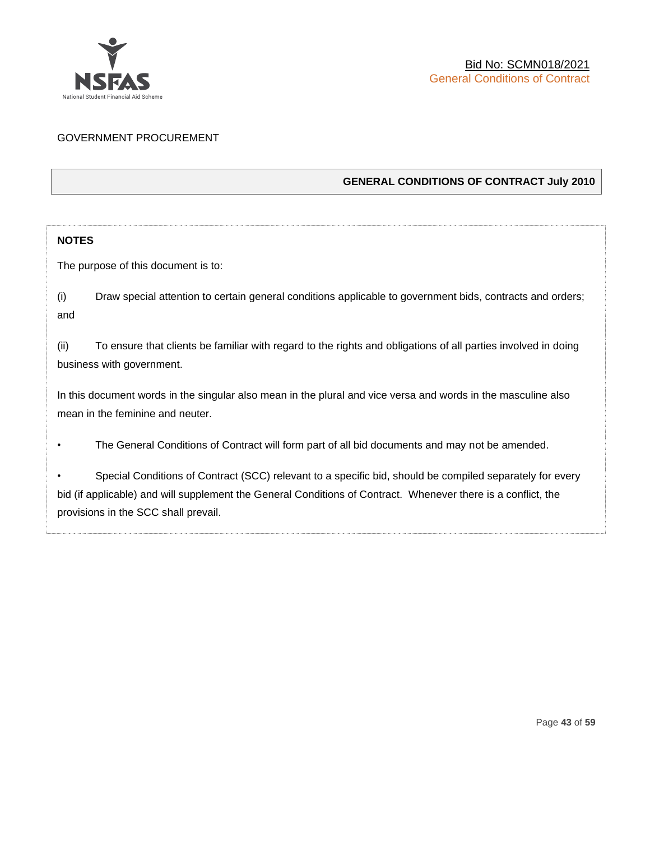

# GOVERNMENT PROCUREMENT

# **GENERAL CONDITIONS OF CONTRACT July 2010**

# **NOTES**

The purpose of this document is to:

(i) Draw special attention to certain general conditions applicable to government bids, contracts and orders; and

(ii) To ensure that clients be familiar with regard to the rights and obligations of all parties involved in doing business with government.

In this document words in the singular also mean in the plural and vice versa and words in the masculine also mean in the feminine and neuter.

• The General Conditions of Contract will form part of all bid documents and may not be amended.

Special Conditions of Contract (SCC) relevant to a specific bid, should be compiled separately for every bid (if applicable) and will supplement the General Conditions of Contract. Whenever there is a conflict, the provisions in the SCC shall prevail.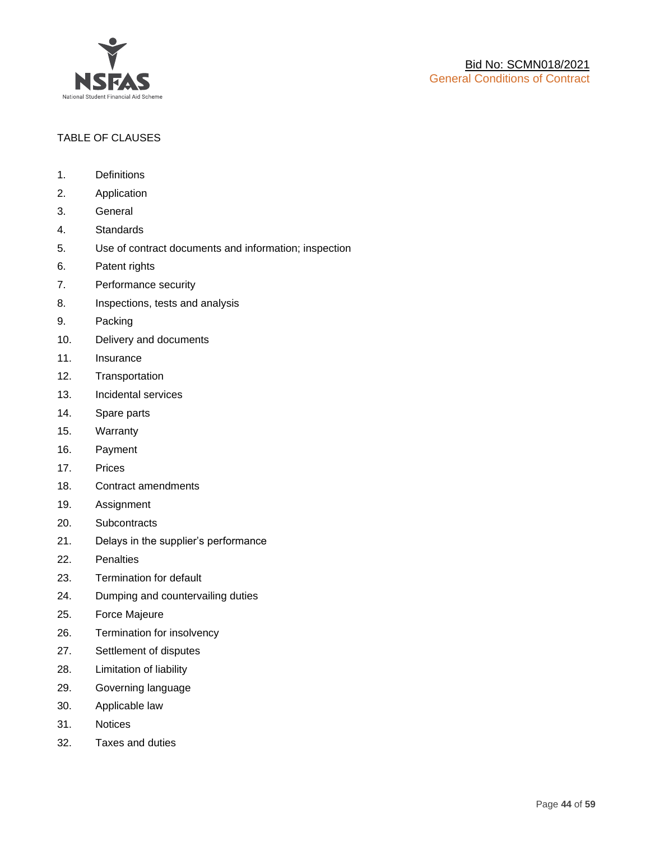

# TABLE OF CLAUSES

- 1. Definitions
- 2. Application
- 3. General
- 4. Standards
- 5. Use of contract documents and information; inspection
- 6. Patent rights
- 7. Performance security
- 8. Inspections, tests and analysis
- 9. Packing
- 10. Delivery and documents
- 11. Insurance
- 12. Transportation
- 13. Incidental services
- 14. Spare parts
- 15. Warranty
- 16. Payment
- 17. Prices
- 18. Contract amendments
- 19. Assignment
- 20. Subcontracts
- 21. Delays in the supplier's performance
- 22. Penalties
- 23. Termination for default
- 24. Dumping and countervailing duties
- 25. Force Majeure
- 26. Termination for insolvency
- 27. Settlement of disputes
- 28. Limitation of liability
- 29. Governing language
- 30. Applicable law
- 31. Notices
- 32. Taxes and duties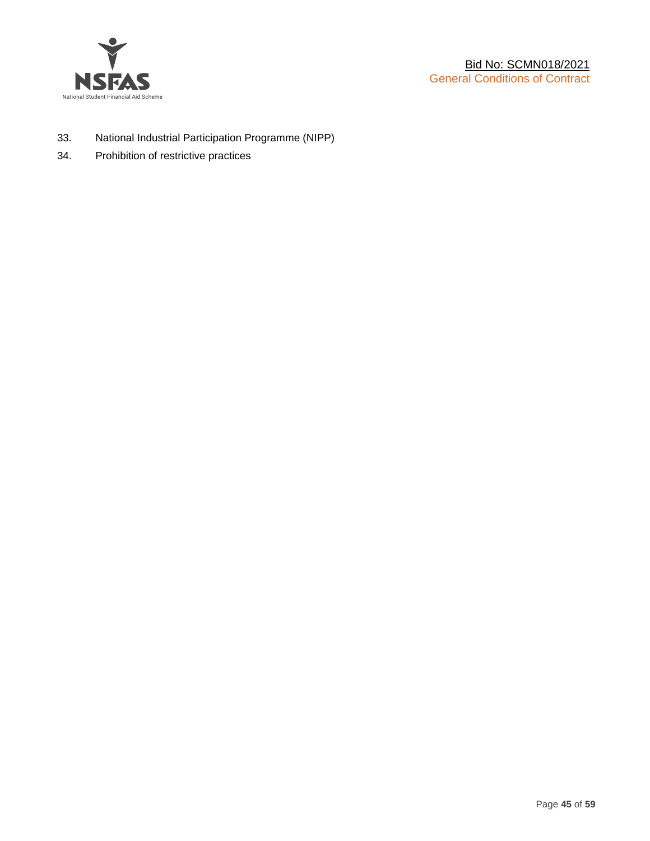

- 33. National Industrial Participation Programme (NIPP)
- 34. Prohibition of restrictive practices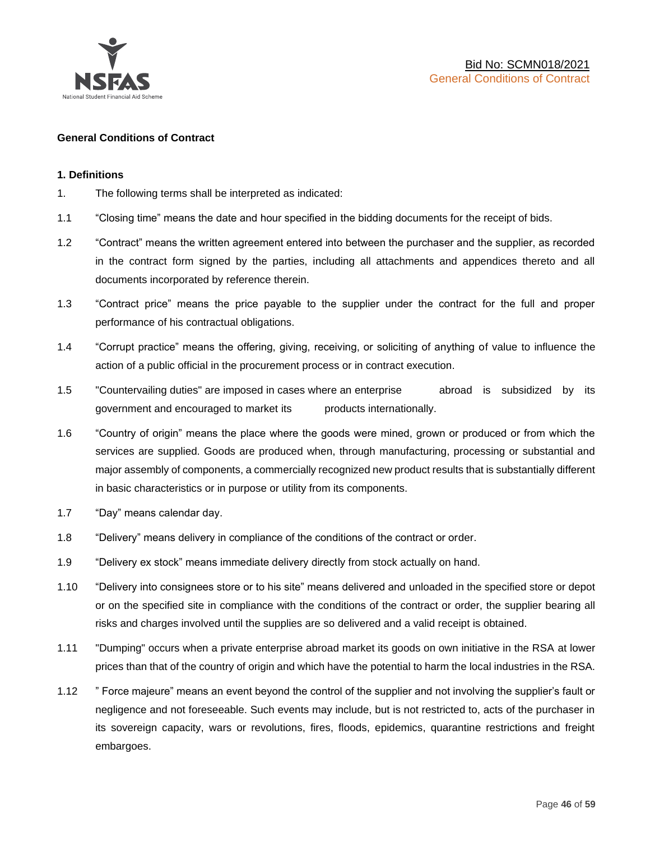

#### **General Conditions of Contract**

#### **1. Definitions**

- 1. The following terms shall be interpreted as indicated:
- 1.1 "Closing time" means the date and hour specified in the bidding documents for the receipt of bids.
- 1.2 "Contract" means the written agreement entered into between the purchaser and the supplier, as recorded in the contract form signed by the parties, including all attachments and appendices thereto and all documents incorporated by reference therein.
- 1.3 "Contract price" means the price payable to the supplier under the contract for the full and proper performance of his contractual obligations.
- 1.4 "Corrupt practice" means the offering, giving, receiving, or soliciting of anything of value to influence the action of a public official in the procurement process or in contract execution.
- 1.5 "Countervailing duties" are imposed in cases where an enterprise abroad is subsidized by its government and encouraged to market its products internationally.
- 1.6 "Country of origin" means the place where the goods were mined, grown or produced or from which the services are supplied. Goods are produced when, through manufacturing, processing or substantial and major assembly of components, a commercially recognized new product results that is substantially different in basic characteristics or in purpose or utility from its components.
- 1.7 "Day" means calendar day.
- 1.8 "Delivery" means delivery in compliance of the conditions of the contract or order.
- 1.9 "Delivery ex stock" means immediate delivery directly from stock actually on hand.
- 1.10 "Delivery into consignees store or to his site" means delivered and unloaded in the specified store or depot or on the specified site in compliance with the conditions of the contract or order, the supplier bearing all risks and charges involved until the supplies are so delivered and a valid receipt is obtained.
- 1.11 "Dumping" occurs when a private enterprise abroad market its goods on own initiative in the RSA at lower prices than that of the country of origin and which have the potential to harm the local industries in the RSA.
- 1.12 " Force majeure" means an event beyond the control of the supplier and not involving the supplier's fault or negligence and not foreseeable. Such events may include, but is not restricted to, acts of the purchaser in its sovereign capacity, wars or revolutions, fires, floods, epidemics, quarantine restrictions and freight embargoes.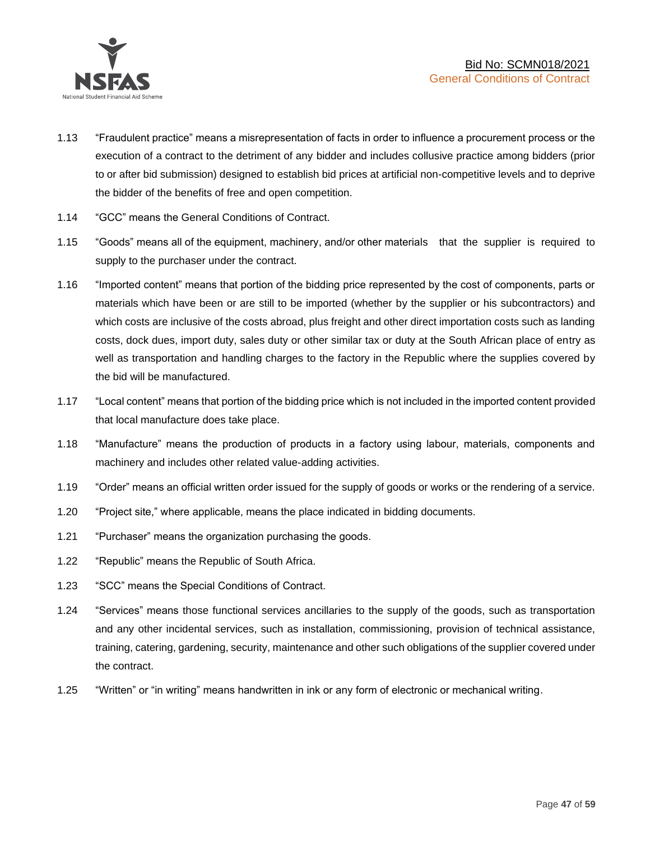

- 1.13 "Fraudulent practice" means a misrepresentation of facts in order to influence a procurement process or the execution of a contract to the detriment of any bidder and includes collusive practice among bidders (prior to or after bid submission) designed to establish bid prices at artificial non-competitive levels and to deprive the bidder of the benefits of free and open competition.
- 1.14 "GCC" means the General Conditions of Contract.
- 1.15 "Goods" means all of the equipment, machinery, and/or other materials that the supplier is required to supply to the purchaser under the contract.
- 1.16 "Imported content" means that portion of the bidding price represented by the cost of components, parts or materials which have been or are still to be imported (whether by the supplier or his subcontractors) and which costs are inclusive of the costs abroad, plus freight and other direct importation costs such as landing costs, dock dues, import duty, sales duty or other similar tax or duty at the South African place of entry as well as transportation and handling charges to the factory in the Republic where the supplies covered by the bid will be manufactured.
- 1.17 "Local content" means that portion of the bidding price which is not included in the imported content provided that local manufacture does take place.
- 1.18 "Manufacture" means the production of products in a factory using labour, materials, components and machinery and includes other related value-adding activities.
- 1.19 "Order" means an official written order issued for the supply of goods or works or the rendering of a service.
- 1.20 "Project site," where applicable, means the place indicated in bidding documents.
- 1.21 "Purchaser" means the organization purchasing the goods.
- 1.22 "Republic" means the Republic of South Africa.
- 1.23 "SCC" means the Special Conditions of Contract.
- 1.24 "Services" means those functional services ancillaries to the supply of the goods, such as transportation and any other incidental services, such as installation, commissioning, provision of technical assistance, training, catering, gardening, security, maintenance and other such obligations of the supplier covered under the contract.
- 1.25 "Written" or "in writing" means handwritten in ink or any form of electronic or mechanical writing.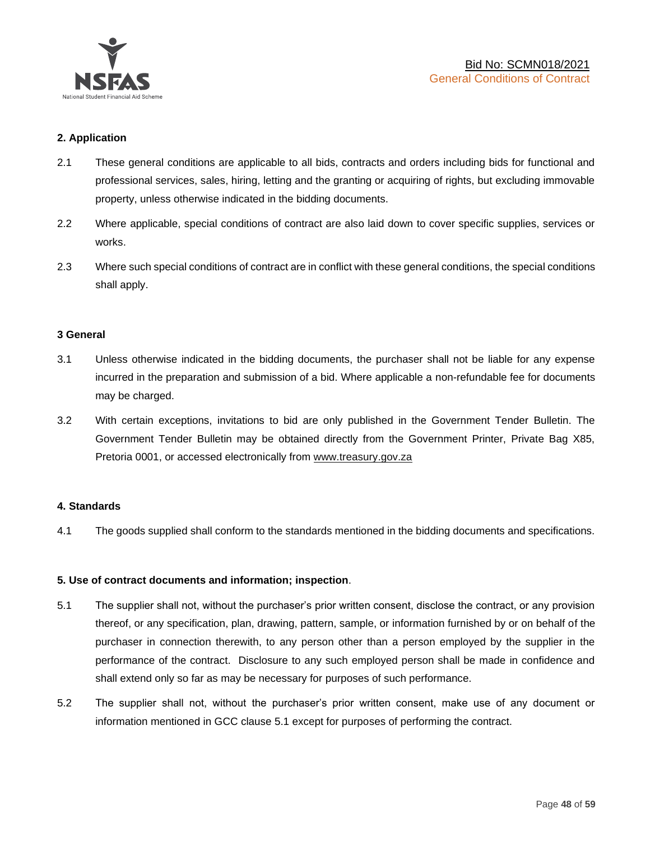

# **2. Application**

- 2.1 These general conditions are applicable to all bids, contracts and orders including bids for functional and professional services, sales, hiring, letting and the granting or acquiring of rights, but excluding immovable property, unless otherwise indicated in the bidding documents.
- 2.2 Where applicable, special conditions of contract are also laid down to cover specific supplies, services or works.
- 2.3 Where such special conditions of contract are in conflict with these general conditions, the special conditions shall apply.

#### **3 General**

- 3.1 Unless otherwise indicated in the bidding documents, the purchaser shall not be liable for any expense incurred in the preparation and submission of a bid. Where applicable a non-refundable fee for documents may be charged.
- 3.2 With certain exceptions, invitations to bid are only published in the Government Tender Bulletin. The Government Tender Bulletin may be obtained directly from the Government Printer, Private Bag X85, Pretoria 0001, or accessed electronically from [www.treasury.gov.za](http://www.treasury.gov.za/)

#### **4. Standards**

4.1 The goods supplied shall conform to the standards mentioned in the bidding documents and specifications.

#### **5. Use of contract documents and information; inspection**.

- 5.1 The supplier shall not, without the purchaser's prior written consent, disclose the contract, or any provision thereof, or any specification, plan, drawing, pattern, sample, or information furnished by or on behalf of the purchaser in connection therewith, to any person other than a person employed by the supplier in the performance of the contract. Disclosure to any such employed person shall be made in confidence and shall extend only so far as may be necessary for purposes of such performance.
- 5.2 The supplier shall not, without the purchaser's prior written consent, make use of any document or information mentioned in GCC clause 5.1 except for purposes of performing the contract.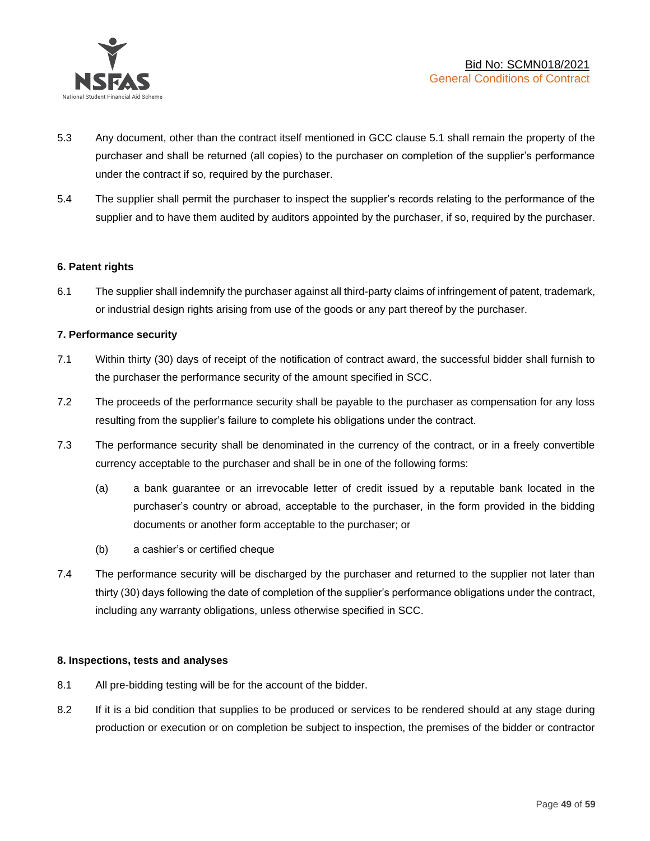

- 5.3 Any document, other than the contract itself mentioned in GCC clause 5.1 shall remain the property of the purchaser and shall be returned (all copies) to the purchaser on completion of the supplier's performance under the contract if so, required by the purchaser.
- 5.4 The supplier shall permit the purchaser to inspect the supplier's records relating to the performance of the supplier and to have them audited by auditors appointed by the purchaser, if so, required by the purchaser.

#### **6. Patent rights**

6.1 The supplier shall indemnify the purchaser against all third-party claims of infringement of patent, trademark, or industrial design rights arising from use of the goods or any part thereof by the purchaser.

# **7. Performance security**

- 7.1 Within thirty (30) days of receipt of the notification of contract award, the successful bidder shall furnish to the purchaser the performance security of the amount specified in SCC.
- 7.2 The proceeds of the performance security shall be payable to the purchaser as compensation for any loss resulting from the supplier's failure to complete his obligations under the contract.
- 7.3 The performance security shall be denominated in the currency of the contract, or in a freely convertible currency acceptable to the purchaser and shall be in one of the following forms:
	- (a) a bank guarantee or an irrevocable letter of credit issued by a reputable bank located in the purchaser's country or abroad, acceptable to the purchaser, in the form provided in the bidding documents or another form acceptable to the purchaser; or
	- (b) a cashier's or certified cheque
- 7.4 The performance security will be discharged by the purchaser and returned to the supplier not later than thirty (30) days following the date of completion of the supplier's performance obligations under the contract, including any warranty obligations, unless otherwise specified in SCC.

#### **8. Inspections, tests and analyses**

- 8.1 All pre-bidding testing will be for the account of the bidder.
- 8.2 If it is a bid condition that supplies to be produced or services to be rendered should at any stage during production or execution or on completion be subject to inspection, the premises of the bidder or contractor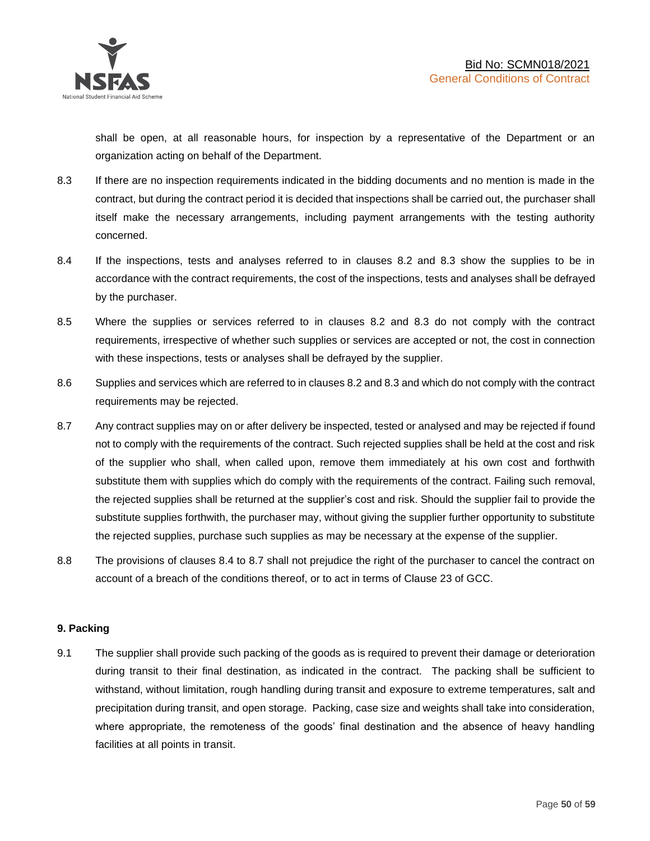shall be open, at all reasonable hours, for inspection by a representative of the Department or an organization acting on behalf of the Department.

- 8.3 If there are no inspection requirements indicated in the bidding documents and no mention is made in the contract, but during the contract period it is decided that inspections shall be carried out, the purchaser shall itself make the necessary arrangements, including payment arrangements with the testing authority concerned.
- 8.4 If the inspections, tests and analyses referred to in clauses 8.2 and 8.3 show the supplies to be in accordance with the contract requirements, the cost of the inspections, tests and analyses shall be defrayed by the purchaser.
- 8.5 Where the supplies or services referred to in clauses 8.2 and 8.3 do not comply with the contract requirements, irrespective of whether such supplies or services are accepted or not, the cost in connection with these inspections, tests or analyses shall be defrayed by the supplier.
- 8.6 Supplies and services which are referred to in clauses 8.2 and 8.3 and which do not comply with the contract requirements may be rejected.
- 8.7 Any contract supplies may on or after delivery be inspected, tested or analysed and may be rejected if found not to comply with the requirements of the contract. Such rejected supplies shall be held at the cost and risk of the supplier who shall, when called upon, remove them immediately at his own cost and forthwith substitute them with supplies which do comply with the requirements of the contract. Failing such removal, the rejected supplies shall be returned at the supplier's cost and risk. Should the supplier fail to provide the substitute supplies forthwith, the purchaser may, without giving the supplier further opportunity to substitute the rejected supplies, purchase such supplies as may be necessary at the expense of the supplier.
- 8.8 The provisions of clauses 8.4 to 8.7 shall not prejudice the right of the purchaser to cancel the contract on account of a breach of the conditions thereof, or to act in terms of Clause 23 of GCC.

# **9. Packing**

9.1 The supplier shall provide such packing of the goods as is required to prevent their damage or deterioration during transit to their final destination, as indicated in the contract. The packing shall be sufficient to withstand, without limitation, rough handling during transit and exposure to extreme temperatures, salt and precipitation during transit, and open storage. Packing, case size and weights shall take into consideration, where appropriate, the remoteness of the goods' final destination and the absence of heavy handling facilities at all points in transit.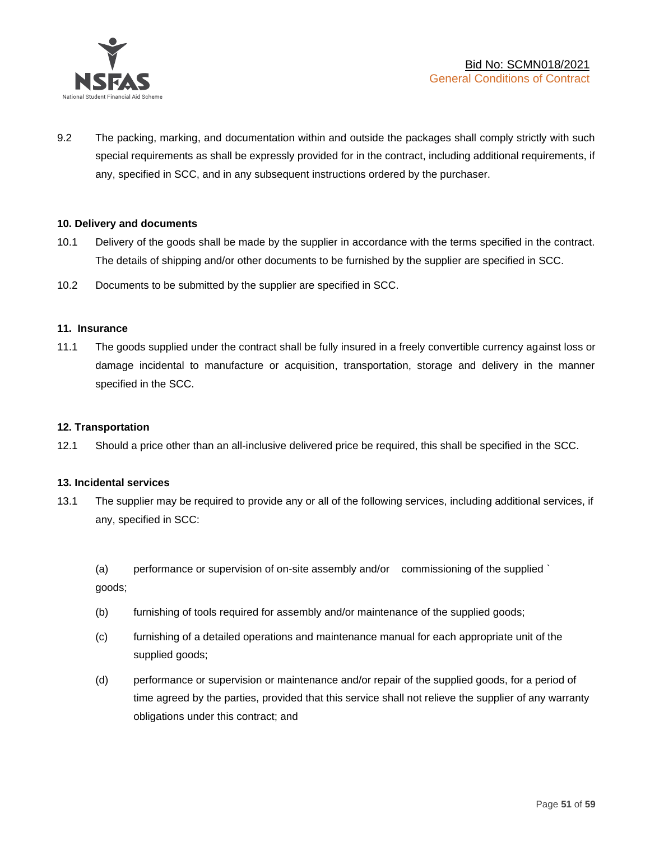

9.2 The packing, marking, and documentation within and outside the packages shall comply strictly with such special requirements as shall be expressly provided for in the contract, including additional requirements, if any, specified in SCC, and in any subsequent instructions ordered by the purchaser.

#### **10. Delivery and documents**

- 10.1 Delivery of the goods shall be made by the supplier in accordance with the terms specified in the contract. The details of shipping and/or other documents to be furnished by the supplier are specified in SCC.
- 10.2 Documents to be submitted by the supplier are specified in SCC.

#### **11. Insurance**

11.1 The goods supplied under the contract shall be fully insured in a freely convertible currency against loss or damage incidental to manufacture or acquisition, transportation, storage and delivery in the manner specified in the SCC.

#### **12. Transportation**

12.1 Should a price other than an all-inclusive delivered price be required, this shall be specified in the SCC.

#### **13. Incidental services**

13.1 The supplier may be required to provide any or all of the following services, including additional services, if any, specified in SCC:

(a) performance or supervision of on-site assembly and/or commissioning of the supplied ` goods;

- (b) furnishing of tools required for assembly and/or maintenance of the supplied goods;
- (c) furnishing of a detailed operations and maintenance manual for each appropriate unit of the supplied goods;
- (d) performance or supervision or maintenance and/or repair of the supplied goods, for a period of time agreed by the parties, provided that this service shall not relieve the supplier of any warranty obligations under this contract; and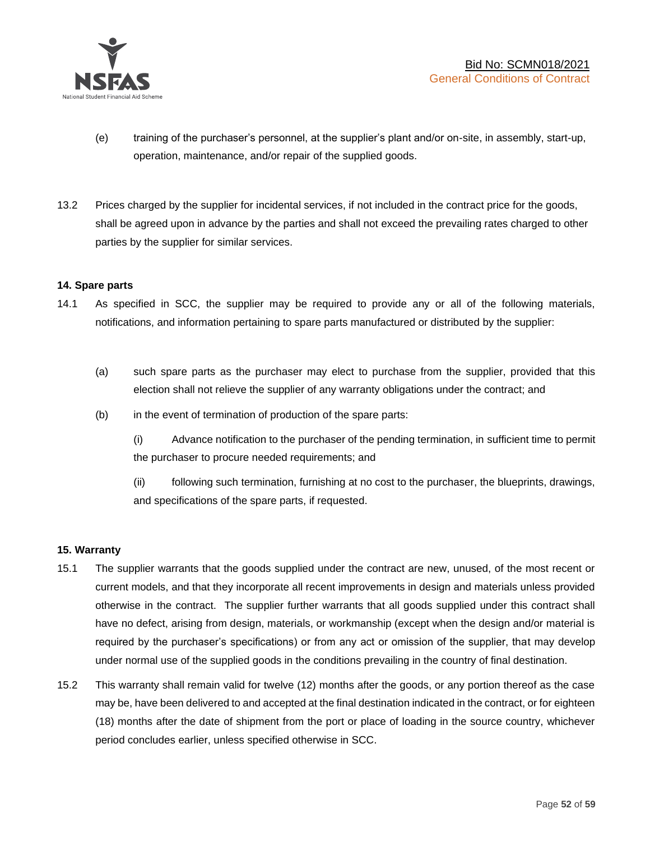

- (e) training of the purchaser's personnel, at the supplier's plant and/or on-site, in assembly, start-up, operation, maintenance, and/or repair of the supplied goods.
- 13.2 Prices charged by the supplier for incidental services, if not included in the contract price for the goods, shall be agreed upon in advance by the parties and shall not exceed the prevailing rates charged to other parties by the supplier for similar services.

# **14. Spare parts**

- 14.1 As specified in SCC, the supplier may be required to provide any or all of the following materials, notifications, and information pertaining to spare parts manufactured or distributed by the supplier:
	- (a) such spare parts as the purchaser may elect to purchase from the supplier, provided that this election shall not relieve the supplier of any warranty obligations under the contract; and
	- (b) in the event of termination of production of the spare parts:

(i) Advance notification to the purchaser of the pending termination, in sufficient time to permit the purchaser to procure needed requirements; and

(ii) following such termination, furnishing at no cost to the purchaser, the blueprints, drawings, and specifications of the spare parts, if requested.

#### **15. Warranty**

- 15.1 The supplier warrants that the goods supplied under the contract are new, unused, of the most recent or current models, and that they incorporate all recent improvements in design and materials unless provided otherwise in the contract. The supplier further warrants that all goods supplied under this contract shall have no defect, arising from design, materials, or workmanship (except when the design and/or material is required by the purchaser's specifications) or from any act or omission of the supplier, that may develop under normal use of the supplied goods in the conditions prevailing in the country of final destination.
- 15.2 This warranty shall remain valid for twelve (12) months after the goods, or any portion thereof as the case may be, have been delivered to and accepted at the final destination indicated in the contract, or for eighteen (18) months after the date of shipment from the port or place of loading in the source country, whichever period concludes earlier, unless specified otherwise in SCC.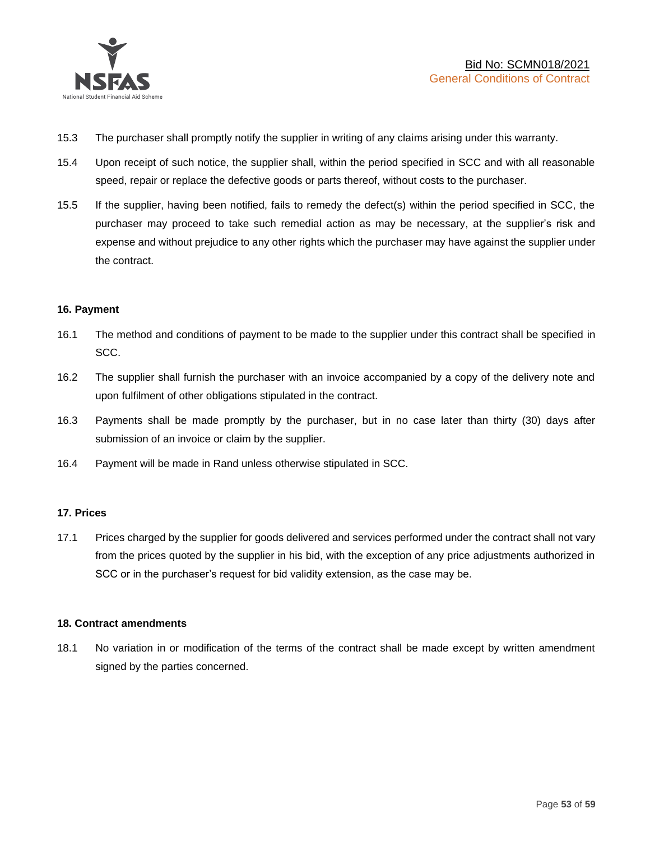

- 15.3 The purchaser shall promptly notify the supplier in writing of any claims arising under this warranty.
- 15.4 Upon receipt of such notice, the supplier shall, within the period specified in SCC and with all reasonable speed, repair or replace the defective goods or parts thereof, without costs to the purchaser.
- 15.5 If the supplier, having been notified, fails to remedy the defect(s) within the period specified in SCC, the purchaser may proceed to take such remedial action as may be necessary, at the supplier's risk and expense and without prejudice to any other rights which the purchaser may have against the supplier under the contract.

# **16. Payment**

- 16.1 The method and conditions of payment to be made to the supplier under this contract shall be specified in SCC.
- 16.2 The supplier shall furnish the purchaser with an invoice accompanied by a copy of the delivery note and upon fulfilment of other obligations stipulated in the contract.
- 16.3 Payments shall be made promptly by the purchaser, but in no case later than thirty (30) days after submission of an invoice or claim by the supplier.
- 16.4 Payment will be made in Rand unless otherwise stipulated in SCC.

#### **17. Prices**

17.1 Prices charged by the supplier for goods delivered and services performed under the contract shall not vary from the prices quoted by the supplier in his bid, with the exception of any price adjustments authorized in SCC or in the purchaser's request for bid validity extension, as the case may be.

#### **18. Contract amendments**

18.1 No variation in or modification of the terms of the contract shall be made except by written amendment signed by the parties concerned.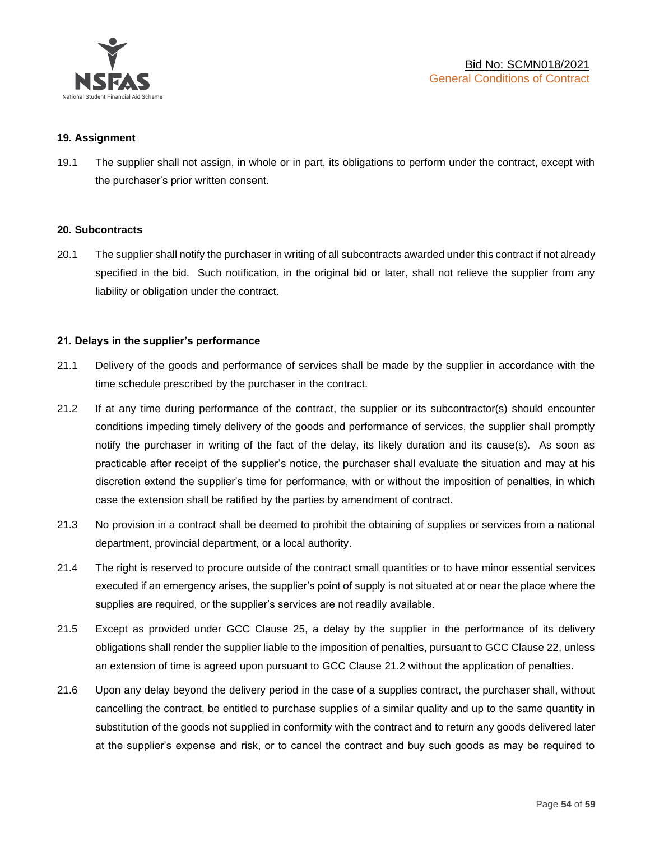

#### **19. Assignment**

19.1 The supplier shall not assign, in whole or in part, its obligations to perform under the contract, except with the purchaser's prior written consent.

#### **20. Subcontracts**

20.1 The supplier shall notify the purchaser in writing of all subcontracts awarded under this contract if not already specified in the bid. Such notification, in the original bid or later, shall not relieve the supplier from any liability or obligation under the contract.

# **21. Delays in the supplier's performance**

- 21.1 Delivery of the goods and performance of services shall be made by the supplier in accordance with the time schedule prescribed by the purchaser in the contract.
- 21.2 If at any time during performance of the contract, the supplier or its subcontractor(s) should encounter conditions impeding timely delivery of the goods and performance of services, the supplier shall promptly notify the purchaser in writing of the fact of the delay, its likely duration and its cause(s). As soon as practicable after receipt of the supplier's notice, the purchaser shall evaluate the situation and may at his discretion extend the supplier's time for performance, with or without the imposition of penalties, in which case the extension shall be ratified by the parties by amendment of contract.
- 21.3 No provision in a contract shall be deemed to prohibit the obtaining of supplies or services from a national department, provincial department, or a local authority.
- 21.4 The right is reserved to procure outside of the contract small quantities or to have minor essential services executed if an emergency arises, the supplier's point of supply is not situated at or near the place where the supplies are required, or the supplier's services are not readily available.
- 21.5 Except as provided under GCC Clause 25, a delay by the supplier in the performance of its delivery obligations shall render the supplier liable to the imposition of penalties, pursuant to GCC Clause 22, unless an extension of time is agreed upon pursuant to GCC Clause 21.2 without the application of penalties.
- 21.6 Upon any delay beyond the delivery period in the case of a supplies contract, the purchaser shall, without cancelling the contract, be entitled to purchase supplies of a similar quality and up to the same quantity in substitution of the goods not supplied in conformity with the contract and to return any goods delivered later at the supplier's expense and risk, or to cancel the contract and buy such goods as may be required to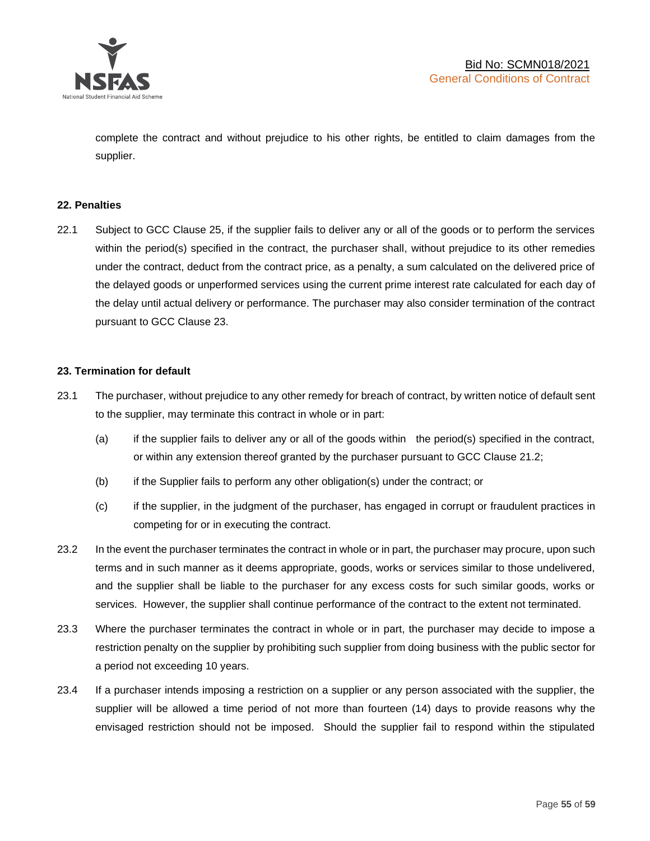

complete the contract and without prejudice to his other rights, be entitled to claim damages from the supplier.

#### **22. Penalties**

22.1 Subject to GCC Clause 25, if the supplier fails to deliver any or all of the goods or to perform the services within the period(s) specified in the contract, the purchaser shall, without prejudice to its other remedies under the contract, deduct from the contract price, as a penalty, a sum calculated on the delivered price of the delayed goods or unperformed services using the current prime interest rate calculated for each day of the delay until actual delivery or performance. The purchaser may also consider termination of the contract pursuant to GCC Clause 23.

#### **23. Termination for default**

- 23.1 The purchaser, without prejudice to any other remedy for breach of contract, by written notice of default sent to the supplier, may terminate this contract in whole or in part:
	- (a) if the supplier fails to deliver any or all of the goods within the period(s) specified in the contract, or within any extension thereof granted by the purchaser pursuant to GCC Clause 21.2;
	- (b) if the Supplier fails to perform any other obligation(s) under the contract; or
	- (c) if the supplier, in the judgment of the purchaser, has engaged in corrupt or fraudulent practices in competing for or in executing the contract.
- 23.2 In the event the purchaser terminates the contract in whole or in part, the purchaser may procure, upon such terms and in such manner as it deems appropriate, goods, works or services similar to those undelivered, and the supplier shall be liable to the purchaser for any excess costs for such similar goods, works or services. However, the supplier shall continue performance of the contract to the extent not terminated.
- 23.3 Where the purchaser terminates the contract in whole or in part, the purchaser may decide to impose a restriction penalty on the supplier by prohibiting such supplier from doing business with the public sector for a period not exceeding 10 years.
- 23.4 If a purchaser intends imposing a restriction on a supplier or any person associated with the supplier, the supplier will be allowed a time period of not more than fourteen (14) days to provide reasons why the envisaged restriction should not be imposed. Should the supplier fail to respond within the stipulated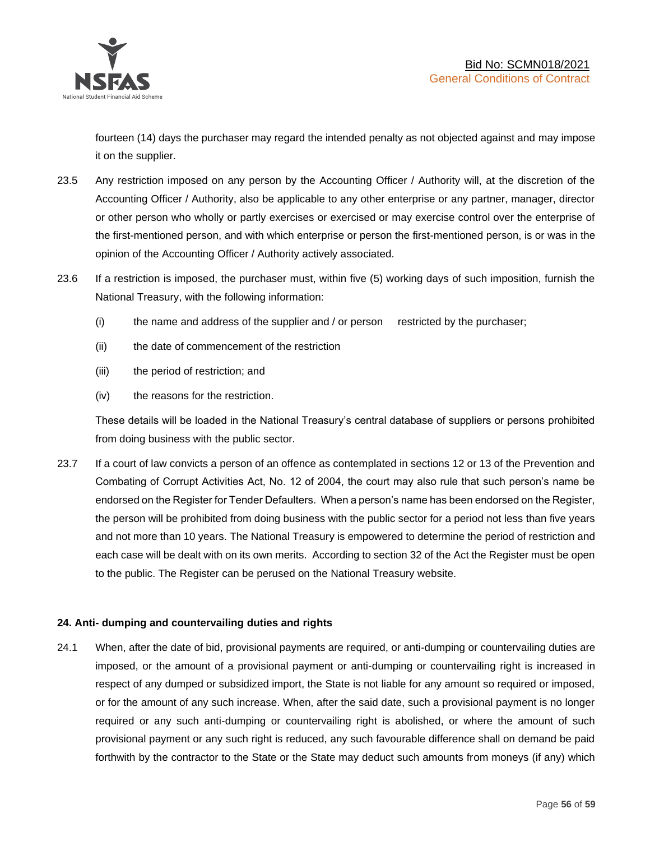

fourteen (14) days the purchaser may regard the intended penalty as not objected against and may impose it on the supplier.

- 23.5 Any restriction imposed on any person by the Accounting Officer / Authority will, at the discretion of the Accounting Officer / Authority, also be applicable to any other enterprise or any partner, manager, director or other person who wholly or partly exercises or exercised or may exercise control over the enterprise of the first-mentioned person, and with which enterprise or person the first-mentioned person, is or was in the opinion of the Accounting Officer / Authority actively associated.
- 23.6 If a restriction is imposed, the purchaser must, within five (5) working days of such imposition, furnish the National Treasury, with the following information:
	- (i) the name and address of the supplier and / or person restricted by the purchaser;
	- (ii) the date of commencement of the restriction
	- (iii) the period of restriction; and
	- (iv) the reasons for the restriction.

These details will be loaded in the National Treasury's central database of suppliers or persons prohibited from doing business with the public sector.

23.7 If a court of law convicts a person of an offence as contemplated in sections 12 or 13 of the Prevention and Combating of Corrupt Activities Act, No. 12 of 2004, the court may also rule that such person's name be endorsed on the Register for Tender Defaulters. When a person's name has been endorsed on the Register, the person will be prohibited from doing business with the public sector for a period not less than five years and not more than 10 years. The National Treasury is empowered to determine the period of restriction and each case will be dealt with on its own merits. According to section 32 of the Act the Register must be open to the public. The Register can be perused on the National Treasury website.

# **24. Anti- dumping and countervailing duties and rights**

24.1 When, after the date of bid, provisional payments are required, or anti-dumping or countervailing duties are imposed, or the amount of a provisional payment or anti-dumping or countervailing right is increased in respect of any dumped or subsidized import, the State is not liable for any amount so required or imposed, or for the amount of any such increase. When, after the said date, such a provisional payment is no longer required or any such anti-dumping or countervailing right is abolished, or where the amount of such provisional payment or any such right is reduced, any such favourable difference shall on demand be paid forthwith by the contractor to the State or the State may deduct such amounts from moneys (if any) which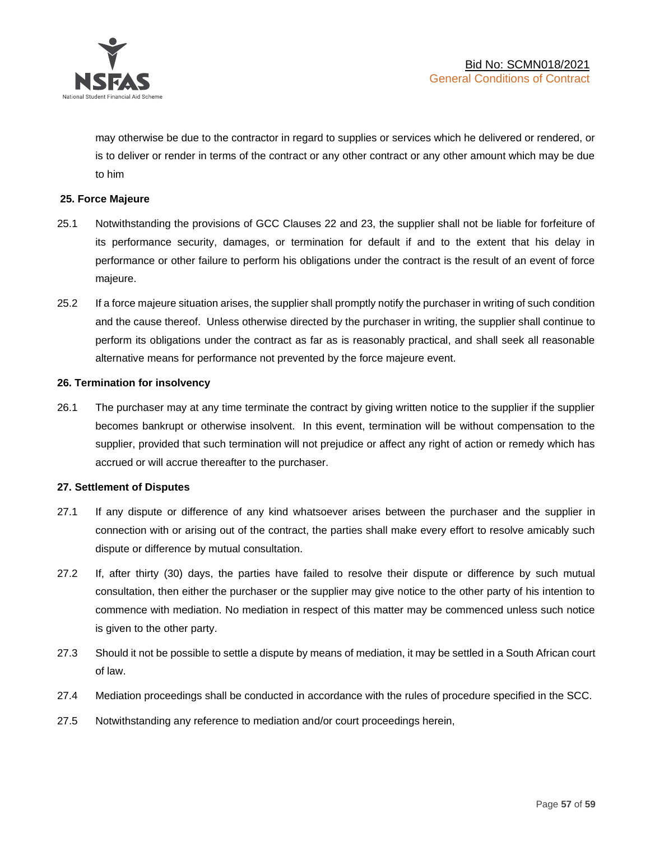

may otherwise be due to the contractor in regard to supplies or services which he delivered or rendered, or is to deliver or render in terms of the contract or any other contract or any other amount which may be due to him

# **25. Force Majeure**

- 25.1 Notwithstanding the provisions of GCC Clauses 22 and 23, the supplier shall not be liable for forfeiture of its performance security, damages, or termination for default if and to the extent that his delay in performance or other failure to perform his obligations under the contract is the result of an event of force majeure.
- 25.2 If a force majeure situation arises, the supplier shall promptly notify the purchaser in writing of such condition and the cause thereof. Unless otherwise directed by the purchaser in writing, the supplier shall continue to perform its obligations under the contract as far as is reasonably practical, and shall seek all reasonable alternative means for performance not prevented by the force majeure event.

#### **26. Termination for insolvency**

26.1 The purchaser may at any time terminate the contract by giving written notice to the supplier if the supplier becomes bankrupt or otherwise insolvent. In this event, termination will be without compensation to the supplier, provided that such termination will not prejudice or affect any right of action or remedy which has accrued or will accrue thereafter to the purchaser.

#### **27. Settlement of Disputes**

- 27.1 If any dispute or difference of any kind whatsoever arises between the purchaser and the supplier in connection with or arising out of the contract, the parties shall make every effort to resolve amicably such dispute or difference by mutual consultation.
- 27.2 If, after thirty (30) days, the parties have failed to resolve their dispute or difference by such mutual consultation, then either the purchaser or the supplier may give notice to the other party of his intention to commence with mediation. No mediation in respect of this matter may be commenced unless such notice is given to the other party.
- 27.3 Should it not be possible to settle a dispute by means of mediation, it may be settled in a South African court of law.
- 27.4 Mediation proceedings shall be conducted in accordance with the rules of procedure specified in the SCC.
- 27.5 Notwithstanding any reference to mediation and/or court proceedings herein,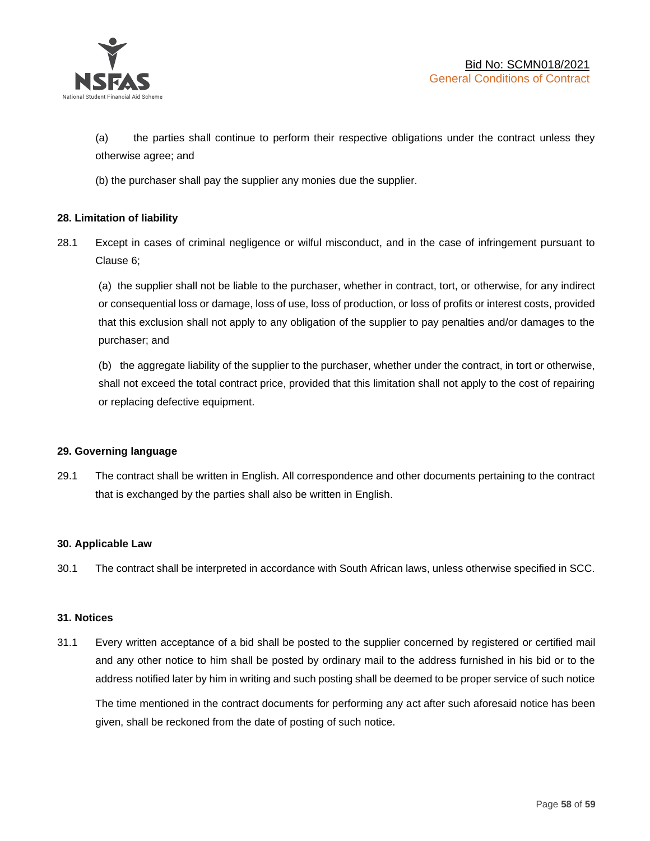

(a) the parties shall continue to perform their respective obligations under the contract unless they otherwise agree; and

(b) the purchaser shall pay the supplier any monies due the supplier.

# **28. Limitation of liability**

28.1 Except in cases of criminal negligence or wilful misconduct, and in the case of infringement pursuant to Clause 6;

(a) the supplier shall not be liable to the purchaser, whether in contract, tort, or otherwise, for any indirect or consequential loss or damage, loss of use, loss of production, or loss of profits or interest costs, provided that this exclusion shall not apply to any obligation of the supplier to pay penalties and/or damages to the purchaser; and

(b) the aggregate liability of the supplier to the purchaser, whether under the contract, in tort or otherwise, shall not exceed the total contract price, provided that this limitation shall not apply to the cost of repairing or replacing defective equipment.

#### **29. Governing language**

29.1 The contract shall be written in English. All correspondence and other documents pertaining to the contract that is exchanged by the parties shall also be written in English.

#### **30. Applicable Law**

30.1 The contract shall be interpreted in accordance with South African laws, unless otherwise specified in SCC.

#### **31. Notices**

31.1 Every written acceptance of a bid shall be posted to the supplier concerned by registered or certified mail and any other notice to him shall be posted by ordinary mail to the address furnished in his bid or to the address notified later by him in writing and such posting shall be deemed to be proper service of such notice

The time mentioned in the contract documents for performing any act after such aforesaid notice has been given, shall be reckoned from the date of posting of such notice.